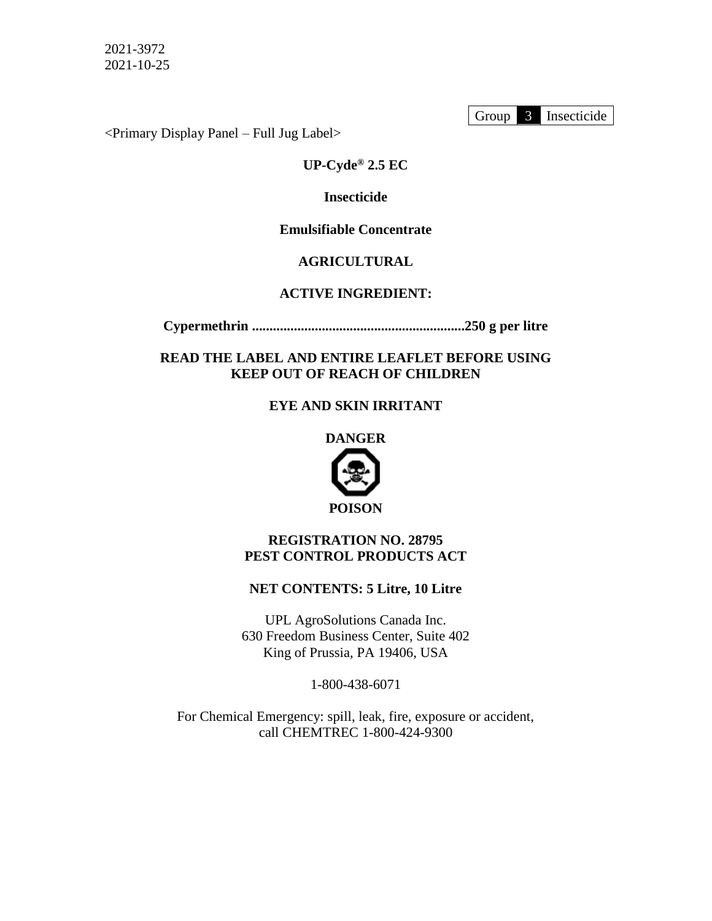Group 3 Insecticide

<Primary Display Panel – Full Jug Label>

## **UP-Cyde® 2.5 EC**

### **Insecticide**

### **Emulsifiable Concentrate**

### **AGRICULTURAL**

### **ACTIVE INGREDIENT:**

**Cypermethrin .............................................................250 g per litre**

## **READ THE LABEL AND ENTIRE LEAFLET BEFORE USING KEEP OUT OF REACH OF CHILDREN**

## **EYE AND SKIN IRRITANT**

**DANGER**



## **REGISTRATION NO. 28795 PEST CONTROL PRODUCTS ACT**

### **NET CONTENTS: 5 Litre, 10 Litre**

UPL AgroSolutions Canada Inc. 630 Freedom Business Center, Suite 402 King of Prussia, PA 19406, USA

1-800-438-6071

For Chemical Emergency: spill, leak, fire, exposure or accident, call CHEMTREC 1-800-424-9300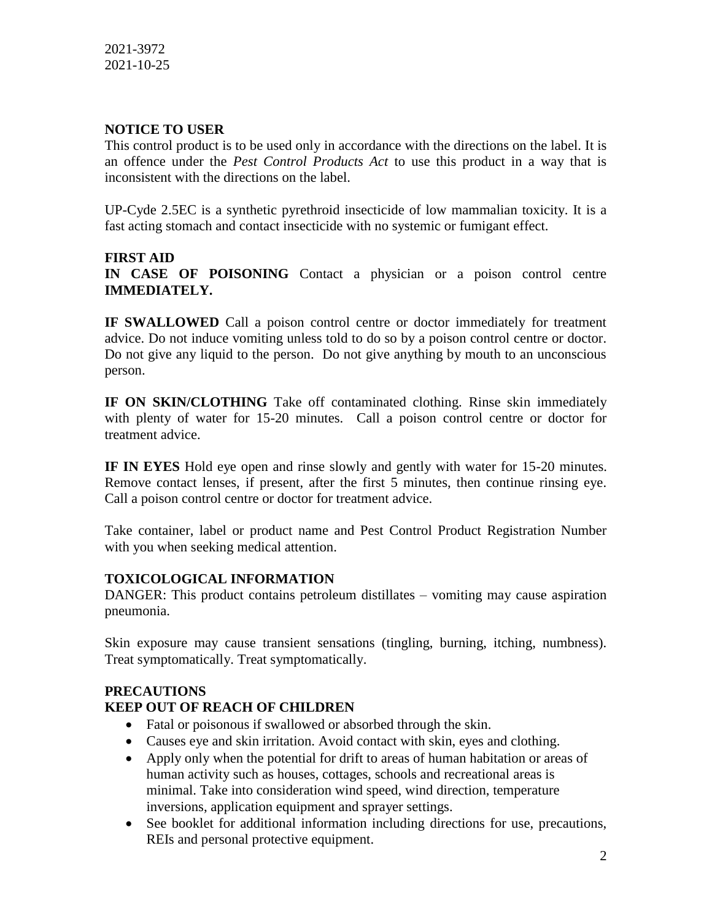## **NOTICE TO USER**

This control product is to be used only in accordance with the directions on the label. It is an offence under the *Pest Control Products Act* to use this product in a way that is inconsistent with the directions on the label.

UP-Cyde 2.5EC is a synthetic pyrethroid insecticide of low mammalian toxicity. It is a fast acting stomach and contact insecticide with no systemic or fumigant effect.

## **FIRST AID**

**IN CASE OF POISONING** Contact a physician or a poison control centre **IMMEDIATELY.**

**IF SWALLOWED** Call a poison control centre or doctor immediately for treatment advice. Do not induce vomiting unless told to do so by a poison control centre or doctor. Do not give any liquid to the person. Do not give anything by mouth to an unconscious person.

**IF ON SKIN/CLOTHING** Take off contaminated clothing. Rinse skin immediately with plenty of water for 15-20 minutes. Call a poison control centre or doctor for treatment advice.

**IF IN EYES** Hold eye open and rinse slowly and gently with water for 15-20 minutes. Remove contact lenses, if present, after the first 5 minutes, then continue rinsing eye. Call a poison control centre or doctor for treatment advice.

Take container, label or product name and Pest Control Product Registration Number with you when seeking medical attention.

## **TOXICOLOGICAL INFORMATION**

DANGER: This product contains petroleum distillates – vomiting may cause aspiration pneumonia.

Skin exposure may cause transient sensations (tingling, burning, itching, numbness). Treat symptomatically. Treat symptomatically.

## **PRECAUTIONS**

## **KEEP OUT OF REACH OF CHILDREN**

- Fatal or poisonous if swallowed or absorbed through the skin.
- Causes eye and skin irritation. Avoid contact with skin, eyes and clothing.
- Apply only when the potential for drift to areas of human habitation or areas of human activity such as houses, cottages, schools and recreational areas is minimal. Take into consideration wind speed, wind direction, temperature inversions, application equipment and sprayer settings.
- See booklet for additional information including directions for use, precautions, REIs and personal protective equipment.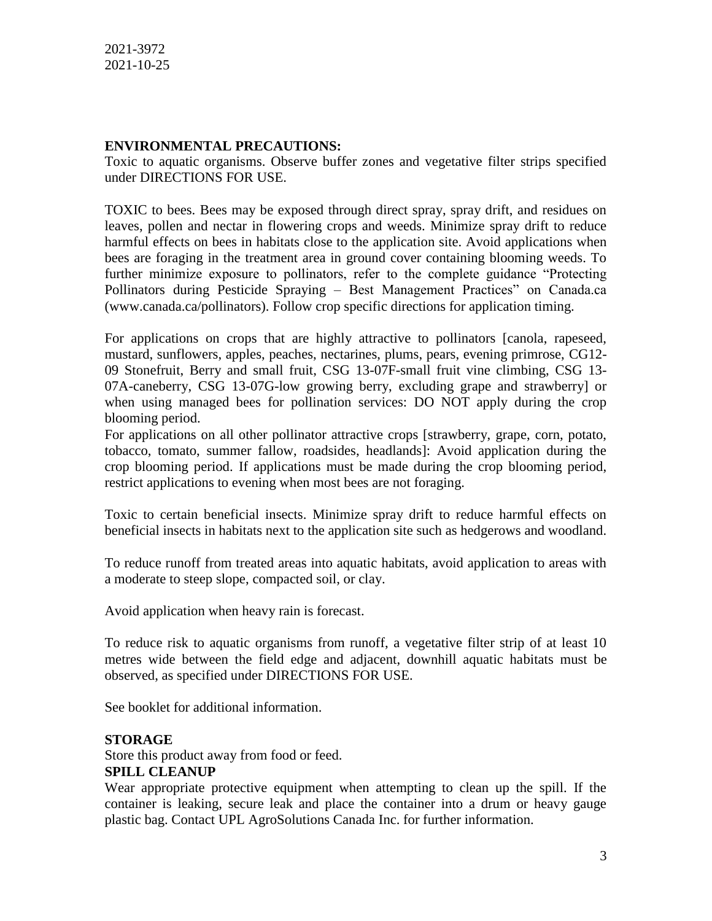### **ENVIRONMENTAL PRECAUTIONS:**

Toxic to aquatic organisms. Observe buffer zones and vegetative filter strips specified under DIRECTIONS FOR USE.

TOXIC to bees. Bees may be exposed through direct spray, spray drift, and residues on leaves, pollen and nectar in flowering crops and weeds. Minimize spray drift to reduce harmful effects on bees in habitats close to the application site. Avoid applications when bees are foraging in the treatment area in ground cover containing blooming weeds. To further minimize exposure to pollinators, refer to the complete guidance "Protecting Pollinators during Pesticide Spraying – Best Management Practices" on Canada.ca (www.canada.ca/pollinators). Follow crop specific directions for application timing.

For applications on crops that are highly attractive to pollinators [canola, rapeseed, mustard, sunflowers, apples, peaches, nectarines, plums, pears, evening primrose, CG12- 09 Stonefruit, Berry and small fruit, CSG 13-07F-small fruit vine climbing, CSG 13- 07A-caneberry, CSG 13-07G-low growing berry, excluding grape and strawberry] or when using managed bees for pollination services: DO NOT apply during the crop blooming period.

For applications on all other pollinator attractive crops [strawberry, grape, corn, potato, tobacco, tomato, summer fallow, roadsides, headlands]: Avoid application during the crop blooming period. If applications must be made during the crop blooming period, restrict applications to evening when most bees are not foraging.

Toxic to certain beneficial insects. Minimize spray drift to reduce harmful effects on beneficial insects in habitats next to the application site such as hedgerows and woodland.

To reduce runoff from treated areas into aquatic habitats, avoid application to areas with a moderate to steep slope, compacted soil, or clay.

Avoid application when heavy rain is forecast.

To reduce risk to aquatic organisms from runoff, a vegetative filter strip of at least 10 metres wide between the field edge and adjacent, downhill aquatic habitats must be observed, as specified under DIRECTIONS FOR USE.

See booklet for additional information.

### **STORAGE**

Store this product away from food or feed.

## **SPILL CLEANUP**

Wear appropriate protective equipment when attempting to clean up the spill. If the container is leaking, secure leak and place the container into a drum or heavy gauge plastic bag. Contact UPL AgroSolutions Canada Inc. for further information.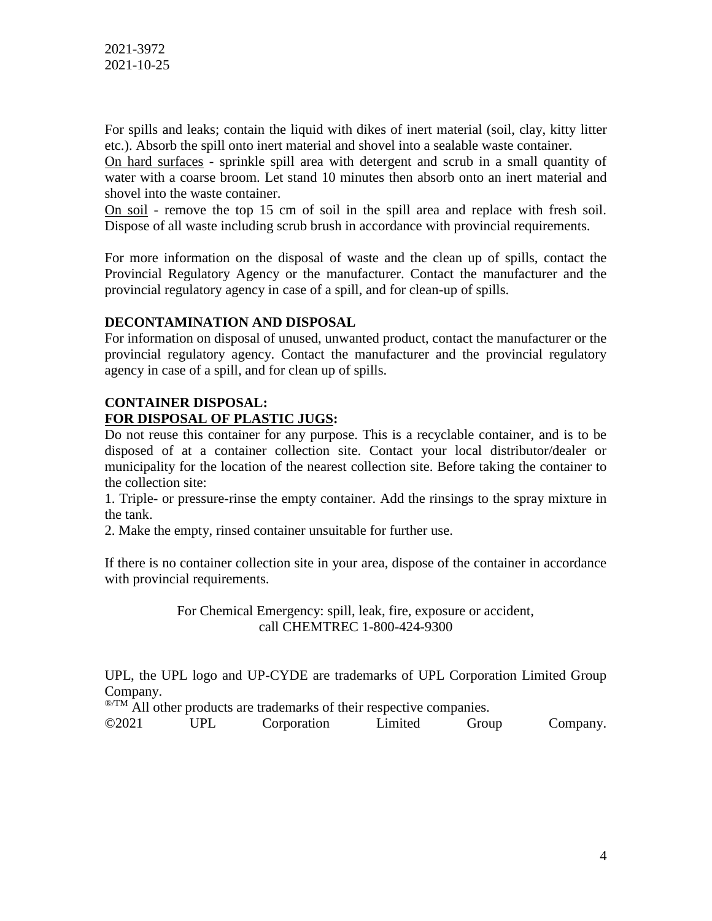For spills and leaks; contain the liquid with dikes of inert material (soil, clay, kitty litter etc.). Absorb the spill onto inert material and shovel into a sealable waste container.

On hard surfaces - sprinkle spill area with detergent and scrub in a small quantity of water with a coarse broom. Let stand 10 minutes then absorb onto an inert material and shovel into the waste container.

On soil - remove the top 15 cm of soil in the spill area and replace with fresh soil. Dispose of all waste including scrub brush in accordance with provincial requirements.

For more information on the disposal of waste and the clean up of spills, contact the Provincial Regulatory Agency or the manufacturer. Contact the manufacturer and the provincial regulatory agency in case of a spill, and for clean-up of spills.

### **DECONTAMINATION AND DISPOSAL**

For information on disposal of unused, unwanted product, contact the manufacturer or the provincial regulatory agency. Contact the manufacturer and the provincial regulatory agency in case of a spill, and for clean up of spills.

#### **CONTAINER DISPOSAL: FOR DISPOSAL OF PLASTIC JUGS:**

Do not reuse this container for any purpose. This is a recyclable container, and is to be disposed of at a container collection site. Contact your local distributor/dealer or municipality for the location of the nearest collection site. Before taking the container to the collection site:

1. Triple- or pressure-rinse the empty container. Add the rinsings to the spray mixture in the tank.

2. Make the empty, rinsed container unsuitable for further use.

If there is no container collection site in your area, dispose of the container in accordance with provincial requirements.

> For Chemical Emergency: spill, leak, fire, exposure or accident, call CHEMTREC 1-800-424-9300

UPL, the UPL logo and UP-CYDE are trademarks of UPL Corporation Limited Group Company.

®/TM All other products are trademarks of their respective companies.

©2021 UPL Corporation Limited Group Company.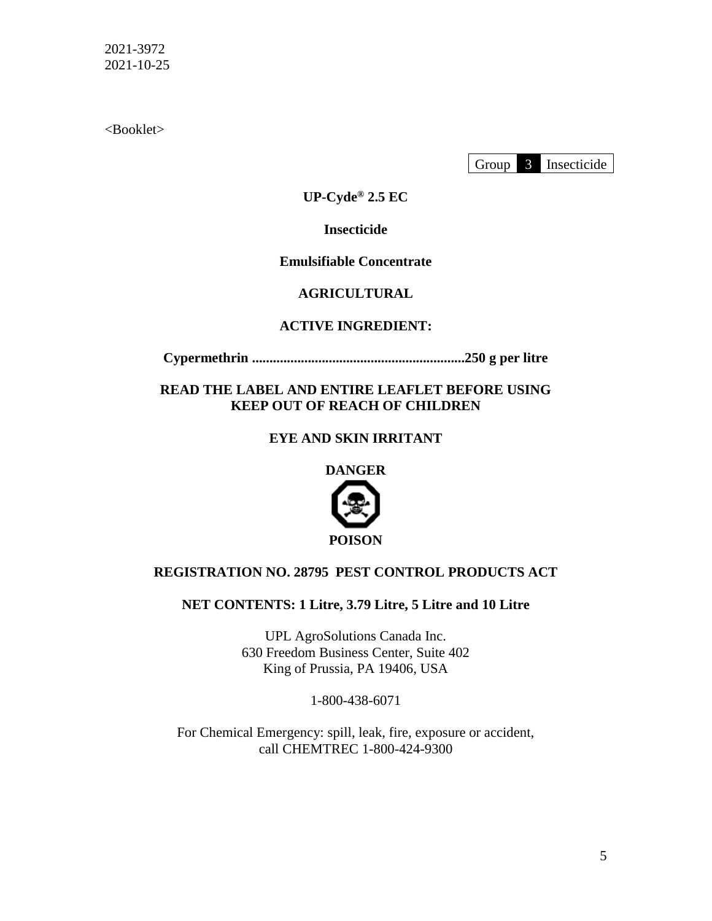<Booklet>

Group 3 Insecticide

**UP-Cyde® 2.5 EC**

**Insecticide**

**Emulsifiable Concentrate**

## **AGRICULTURAL**

## **ACTIVE INGREDIENT:**

**Cypermethrin .............................................................250 g per litre**

**READ THE LABEL AND ENTIRE LEAFLET BEFORE USING KEEP OUT OF REACH OF CHILDREN** 

# **EYE AND SKIN IRRITANT**

**DANGER**



## **REGISTRATION NO. 28795 PEST CONTROL PRODUCTS ACT**

**NET CONTENTS: 1 Litre, 3.79 Litre, 5 Litre and 10 Litre** 

UPL AgroSolutions Canada Inc. 630 Freedom Business Center, Suite 402 King of Prussia, PA 19406, USA

1-800-438-6071

For Chemical Emergency: spill, leak, fire, exposure or accident, call CHEMTREC 1-800-424-9300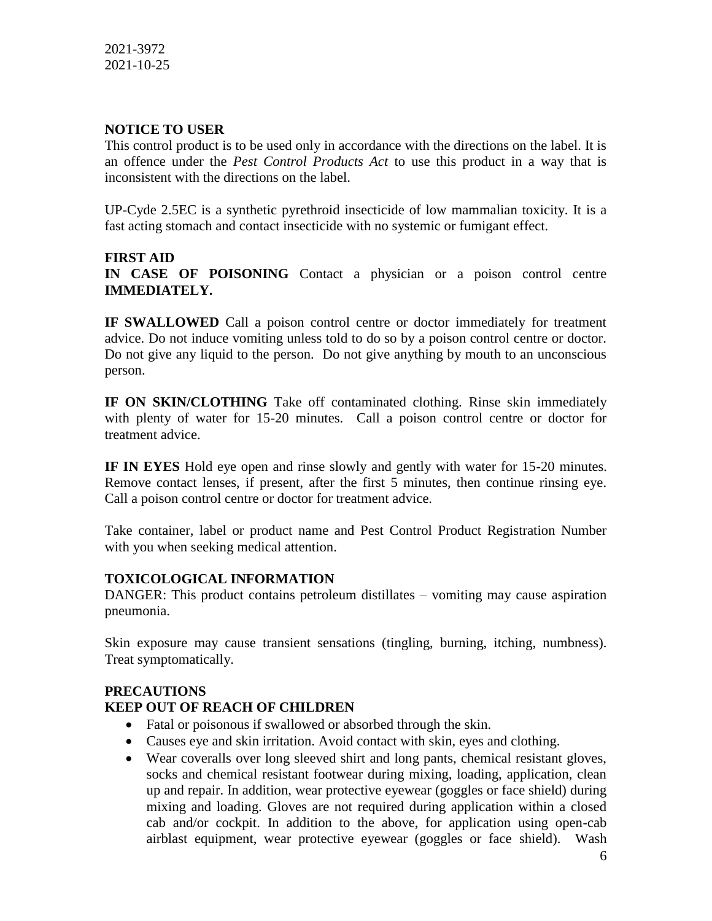## **NOTICE TO USER**

This control product is to be used only in accordance with the directions on the label. It is an offence under the *Pest Control Products Act* to use this product in a way that is inconsistent with the directions on the label.

UP-Cyde 2.5EC is a synthetic pyrethroid insecticide of low mammalian toxicity. It is a fast acting stomach and contact insecticide with no systemic or fumigant effect.

### **FIRST AID**

**IN CASE OF POISONING** Contact a physician or a poison control centre **IMMEDIATELY.**

**IF SWALLOWED** Call a poison control centre or doctor immediately for treatment advice. Do not induce vomiting unless told to do so by a poison control centre or doctor. Do not give any liquid to the person. Do not give anything by mouth to an unconscious person.

**IF ON SKIN/CLOTHING** Take off contaminated clothing. Rinse skin immediately with plenty of water for 15-20 minutes. Call a poison control centre or doctor for treatment advice.

**IF IN EYES** Hold eye open and rinse slowly and gently with water for 15-20 minutes. Remove contact lenses, if present, after the first 5 minutes, then continue rinsing eye. Call a poison control centre or doctor for treatment advice.

Take container, label or product name and Pest Control Product Registration Number with you when seeking medical attention.

## **TOXICOLOGICAL INFORMATION**

DANGER: This product contains petroleum distillates – vomiting may cause aspiration pneumonia.

Skin exposure may cause transient sensations (tingling, burning, itching, numbness). Treat symptomatically.

## **PRECAUTIONS**

## **KEEP OUT OF REACH OF CHILDREN**

- Fatal or poisonous if swallowed or absorbed through the skin.
- Causes eye and skin irritation. Avoid contact with skin, eyes and clothing.
- Wear coveralls over long sleeved shirt and long pants, chemical resistant gloves, socks and chemical resistant footwear during mixing, loading, application, clean up and repair. In addition, wear protective eyewear (goggles or face shield) during mixing and loading. Gloves are not required during application within a closed cab and/or cockpit. In addition to the above, for application using open-cab airblast equipment, wear protective eyewear (goggles or face shield). Wash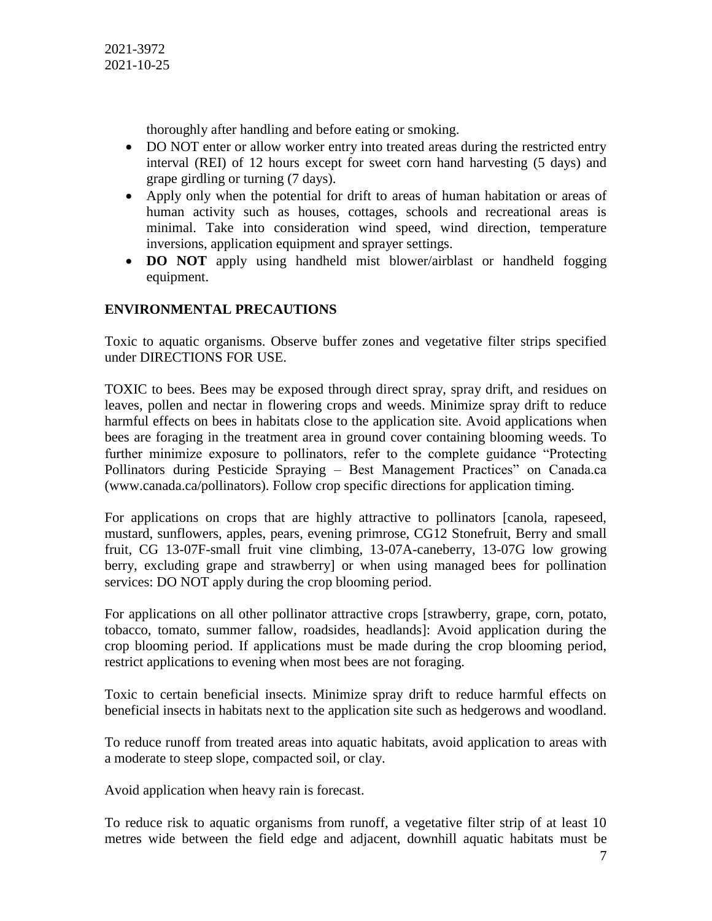thoroughly after handling and before eating or smoking.

- DO NOT enter or allow worker entry into treated areas during the restricted entry interval (REI) of 12 hours except for sweet corn hand harvesting (5 days) and grape girdling or turning (7 days).
- Apply only when the potential for drift to areas of human habitation or areas of human activity such as houses, cottages, schools and recreational areas is minimal. Take into consideration wind speed, wind direction, temperature inversions, application equipment and sprayer settings.
- **DO NOT** apply using handheld mist blower/airblast or handheld fogging equipment.

## **ENVIRONMENTAL PRECAUTIONS**

Toxic to aquatic organisms. Observe buffer zones and vegetative filter strips specified under DIRECTIONS FOR USE.

TOXIC to bees. Bees may be exposed through direct spray, spray drift, and residues on leaves, pollen and nectar in flowering crops and weeds. Minimize spray drift to reduce harmful effects on bees in habitats close to the application site. Avoid applications when bees are foraging in the treatment area in ground cover containing blooming weeds. To further minimize exposure to pollinators, refer to the complete guidance "Protecting Pollinators during Pesticide Spraying – Best Management Practices" on Canada.ca (www.canada.ca/pollinators). Follow crop specific directions for application timing.

For applications on crops that are highly attractive to pollinators [canola, rapeseed, mustard, sunflowers, apples, pears, evening primrose, CG12 Stonefruit, Berry and small fruit, CG 13-07F-small fruit vine climbing, 13-07A-caneberry, 13-07G low growing berry, excluding grape and strawberry] or when using managed bees for pollination services: DO NOT apply during the crop blooming period.

For applications on all other pollinator attractive crops [strawberry, grape, corn, potato, tobacco, tomato, summer fallow, roadsides, headlands]: Avoid application during the crop blooming period. If applications must be made during the crop blooming period, restrict applications to evening when most bees are not foraging.

Toxic to certain beneficial insects. Minimize spray drift to reduce harmful effects on beneficial insects in habitats next to the application site such as hedgerows and woodland.

To reduce runoff from treated areas into aquatic habitats, avoid application to areas with a moderate to steep slope, compacted soil, or clay.

Avoid application when heavy rain is forecast.

To reduce risk to aquatic organisms from runoff, a vegetative filter strip of at least 10 metres wide between the field edge and adjacent, downhill aquatic habitats must be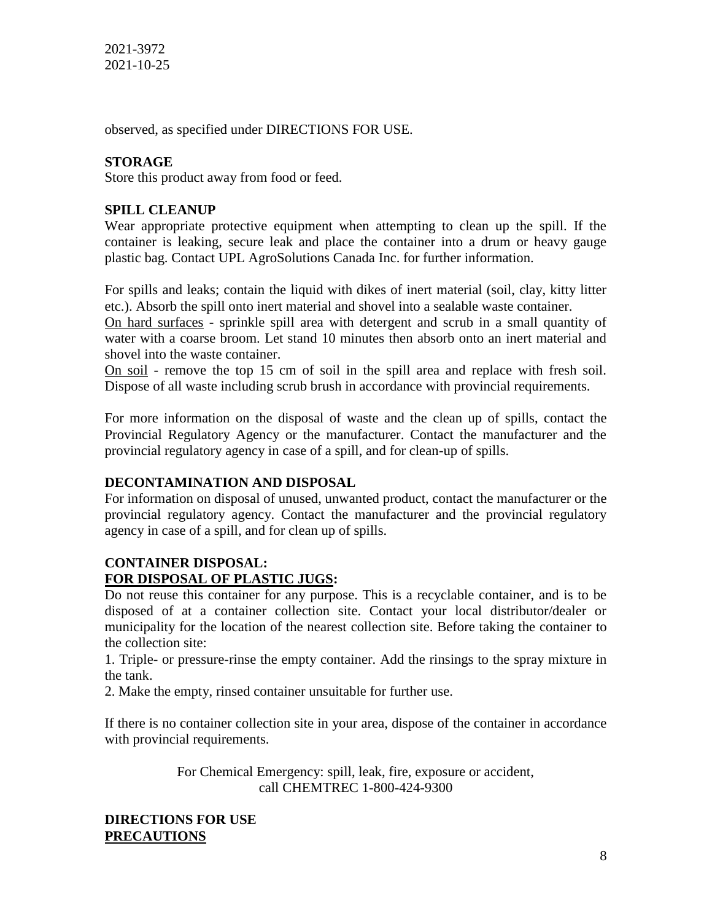observed, as specified under DIRECTIONS FOR USE.

### **STORAGE**

Store this product away from food or feed.

### **SPILL CLEANUP**

Wear appropriate protective equipment when attempting to clean up the spill. If the container is leaking, secure leak and place the container into a drum or heavy gauge plastic bag. Contact UPL AgroSolutions Canada Inc. for further information.

For spills and leaks; contain the liquid with dikes of inert material (soil, clay, kitty litter etc.). Absorb the spill onto inert material and shovel into a sealable waste container.

On hard surfaces - sprinkle spill area with detergent and scrub in a small quantity of water with a coarse broom. Let stand 10 minutes then absorb onto an inert material and shovel into the waste container.

On soil - remove the top 15 cm of soil in the spill area and replace with fresh soil. Dispose of all waste including scrub brush in accordance with provincial requirements.

For more information on the disposal of waste and the clean up of spills, contact the Provincial Regulatory Agency or the manufacturer. Contact the manufacturer and the provincial regulatory agency in case of a spill, and for clean-up of spills.

### **DECONTAMINATION AND DISPOSAL**

For information on disposal of unused, unwanted product, contact the manufacturer or the provincial regulatory agency. Contact the manufacturer and the provincial regulatory agency in case of a spill, and for clean up of spills.

#### **CONTAINER DISPOSAL: FOR DISPOSAL OF PLASTIC JUGS:**

Do not reuse this container for any purpose. This is a recyclable container, and is to be disposed of at a container collection site. Contact your local distributor/dealer or municipality for the location of the nearest collection site. Before taking the container to the collection site:

1. Triple- or pressure-rinse the empty container. Add the rinsings to the spray mixture in the tank.

2. Make the empty, rinsed container unsuitable for further use.

If there is no container collection site in your area, dispose of the container in accordance with provincial requirements.

> For Chemical Emergency: spill, leak, fire, exposure or accident, call CHEMTREC 1-800-424-9300

## **DIRECTIONS FOR USE PRECAUTIONS**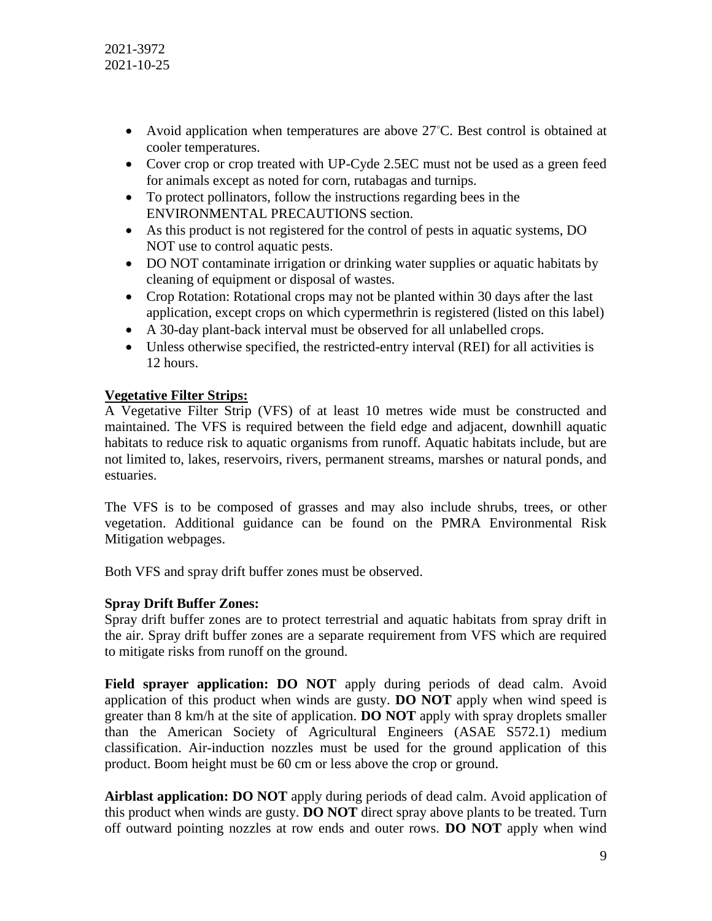- Avoid application when temperatures are above 27°C. Best control is obtained at cooler temperatures.
- Cover crop or crop treated with UP-Cyde 2.5EC must not be used as a green feed for animals except as noted for corn, rutabagas and turnips.
- To protect pollinators, follow the instructions regarding bees in the ENVIRONMENTAL PRECAUTIONS section.
- As this product is not registered for the control of pests in aquatic systems, DO NOT use to control aquatic pests.
- DO NOT contaminate irrigation or drinking water supplies or aquatic habitats by cleaning of equipment or disposal of wastes.
- Crop Rotation: Rotational crops may not be planted within 30 days after the last application, except crops on which cypermethrin is registered (listed on this label)
- A 30-day plant-back interval must be observed for all unlabelled crops.
- Unless otherwise specified, the restricted-entry interval (REI) for all activities is 12 hours.

## **Vegetative Filter Strips:**

A Vegetative Filter Strip (VFS) of at least 10 metres wide must be constructed and maintained. The VFS is required between the field edge and adjacent, downhill aquatic habitats to reduce risk to aquatic organisms from runoff. Aquatic habitats include, but are not limited to, lakes, reservoirs, rivers, permanent streams, marshes or natural ponds, and estuaries.

The VFS is to be composed of grasses and may also include shrubs, trees, or other vegetation. Additional guidance can be found on the PMRA Environmental Risk Mitigation webpages.

Both VFS and spray drift buffer zones must be observed.

## **Spray Drift Buffer Zones:**

Spray drift buffer zones are to protect terrestrial and aquatic habitats from spray drift in the air. Spray drift buffer zones are a separate requirement from VFS which are required to mitigate risks from runoff on the ground.

**Field sprayer application: DO NOT** apply during periods of dead calm. Avoid application of this product when winds are gusty. **DO NOT** apply when wind speed is greater than 8 km/h at the site of application. **DO NOT** apply with spray droplets smaller than the American Society of Agricultural Engineers (ASAE S572.1) medium classification. Air-induction nozzles must be used for the ground application of this product. Boom height must be 60 cm or less above the crop or ground.

**Airblast application: DO NOT** apply during periods of dead calm. Avoid application of this product when winds are gusty. **DO NOT** direct spray above plants to be treated. Turn off outward pointing nozzles at row ends and outer rows. **DO NOT** apply when wind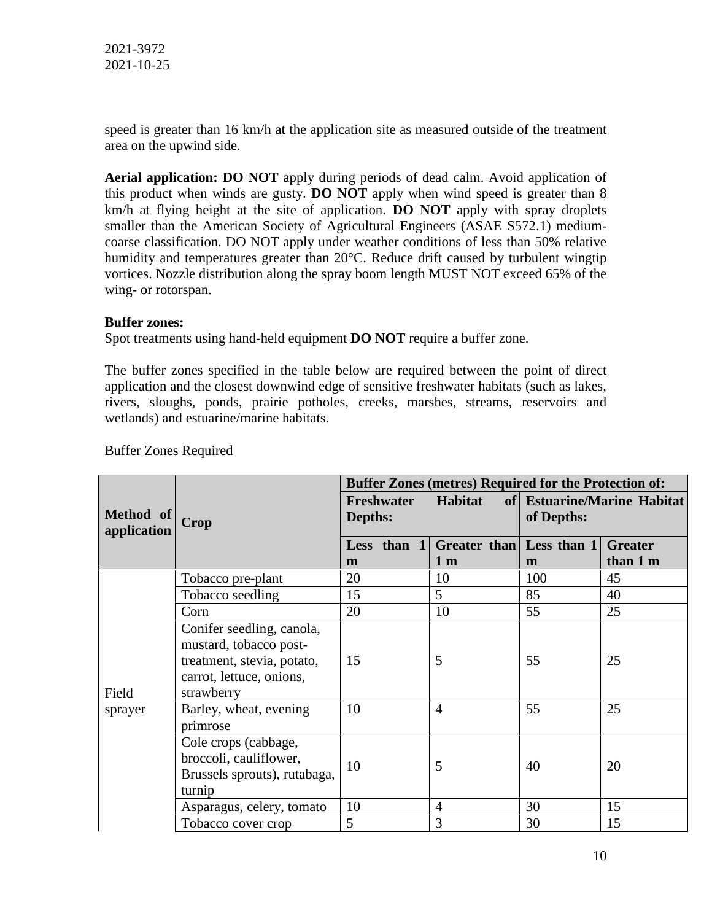speed is greater than 16 km/h at the application site as measured outside of the treatment area on the upwind side.

**Aerial application: DO NOT** apply during periods of dead calm. Avoid application of this product when winds are gusty. **DO NOT** apply when wind speed is greater than 8 km/h at flying height at the site of application. **DO NOT** apply with spray droplets smaller than the American Society of Agricultural Engineers (ASAE S572.1) mediumcoarse classification. DO NOT apply under weather conditions of less than 50% relative humidity and temperatures greater than 20°C. Reduce drift caused by turbulent wingtip vortices. Nozzle distribution along the spray boom length MUST NOT exceed 65% of the wing- or rotorspan.

#### **Buffer zones:**

Spot treatments using hand-held equipment **DO NOT** require a buffer zone.

The buffer zones specified in the table below are required between the point of direct application and the closest downwind edge of sensitive freshwater habitats (such as lakes, rivers, sloughs, ponds, prairie potholes, creeks, marshes, streams, reservoirs and wetlands) and estuarine/marine habitats.

|                          |                                                                                                                             | <b>Buffer Zones (metres) Required for the Protection of:</b> |                                            |                                           |                            |  |
|--------------------------|-----------------------------------------------------------------------------------------------------------------------------|--------------------------------------------------------------|--------------------------------------------|-------------------------------------------|----------------------------|--|
| Method of<br>application | Crop                                                                                                                        | Habitat<br><b>Freshwater</b><br>Depths:                      |                                            | of Estuarine/Marine Habitat<br>of Depths: |                            |  |
|                          |                                                                                                                             | Less than 1<br>m                                             | Greater than Less than 1<br>1 <sub>m</sub> | m                                         | <b>Greater</b><br>than 1 m |  |
|                          | Tobacco pre-plant                                                                                                           | 20                                                           | 10                                         | 100                                       | 45                         |  |
|                          | Tobacco seedling                                                                                                            | 15                                                           | 5                                          | 85                                        | 40                         |  |
|                          | Corn                                                                                                                        | 20                                                           | 10                                         | 55                                        | 25                         |  |
| Field                    | Conifer seedling, canola,<br>mustard, tobacco post-<br>treatment, stevia, potato,<br>carrot, lettuce, onions,<br>strawberry | 15                                                           | 5                                          | 55                                        | 25                         |  |
| sprayer                  | Barley, wheat, evening<br>primrose                                                                                          | 10                                                           | $\overline{4}$                             | 55                                        | 25                         |  |
|                          | Cole crops (cabbage,<br>broccoli, cauliflower,<br>Brussels sprouts), rutabaga,<br>turnip                                    | 10                                                           | 5                                          | 40                                        | 20                         |  |
|                          | Asparagus, celery, tomato                                                                                                   | 10                                                           | $\overline{4}$                             | 30                                        | 15                         |  |
|                          | Tobacco cover crop                                                                                                          | 5                                                            | 3                                          | 30                                        | 15                         |  |

Buffer Zones Required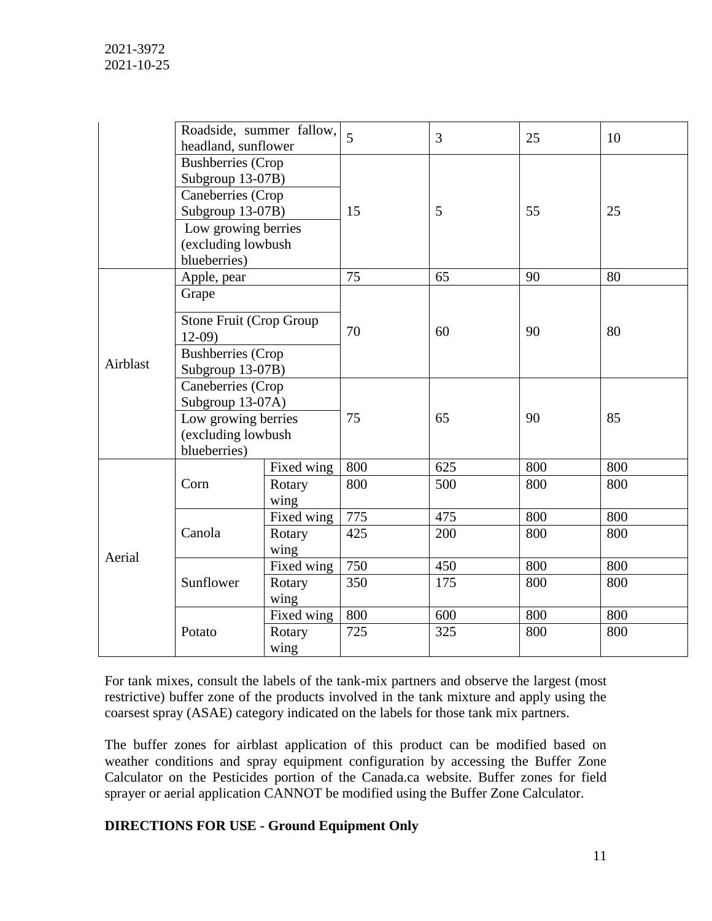|          | Roadside, summer fallow,<br>headland, sunflower<br><b>Bushberries</b> (Crop<br>Subgroup 13-07B)<br>Caneberries (Crop<br>Subgroup 13-07B)<br>Low growing berries<br>(excluding lowbush<br>blueberries) |                | 5   | 3   | 25  | 10  |
|----------|-------------------------------------------------------------------------------------------------------------------------------------------------------------------------------------------------------|----------------|-----|-----|-----|-----|
|          |                                                                                                                                                                                                       |                | 15  | 5   | 55  | 25  |
|          | Apple, pear                                                                                                                                                                                           |                | 75  | 65  | 90  | 80  |
| Airblast | Grape<br>Stone Fruit (Crop Group<br>$12-09$<br><b>Bushberries</b> (Crop<br>Subgroup 13-07B)                                                                                                           |                | 70  | 60  | 90  | 80  |
|          | Caneberries (Crop<br>Subgroup 13-07A)<br>Low growing berries<br>(excluding lowbush<br>blueberries)                                                                                                    |                | 75  | 65  | 90  | 85  |
|          |                                                                                                                                                                                                       | Fixed wing     | 800 | 625 | 800 | 800 |
|          | Corn                                                                                                                                                                                                  | Rotary<br>wing | 800 | 500 | 800 | 800 |
|          |                                                                                                                                                                                                       | Fixed wing     | 775 | 475 | 800 | 800 |
| Aerial   | Canola                                                                                                                                                                                                | Rotary<br>wing | 425 | 200 | 800 | 800 |
|          |                                                                                                                                                                                                       | Fixed wing     | 750 | 450 | 800 | 800 |
|          | Sunflower                                                                                                                                                                                             | Rotary<br>wing | 350 | 175 | 800 | 800 |
|          |                                                                                                                                                                                                       | Fixed wing     | 800 | 600 | 800 | 800 |
|          | Potato                                                                                                                                                                                                | Rotary<br>wing | 725 | 325 | 800 | 800 |

For tank mixes, consult the labels of the tank-mix partners and observe the largest (most restrictive) buffer zone of the products involved in the tank mixture and apply using the coarsest spray (ASAE) category indicated on the labels for those tank mix partners.

The buffer zones for airblast application of this product can be modified based on weather conditions and spray equipment configuration by accessing the Buffer Zone Calculator on the Pesticides portion of the Canada.ca website. Buffer zones for field sprayer or aerial application CANNOT be modified using the Buffer Zone Calculator.

## **DIRECTIONS FOR USE - Ground Equipment Only**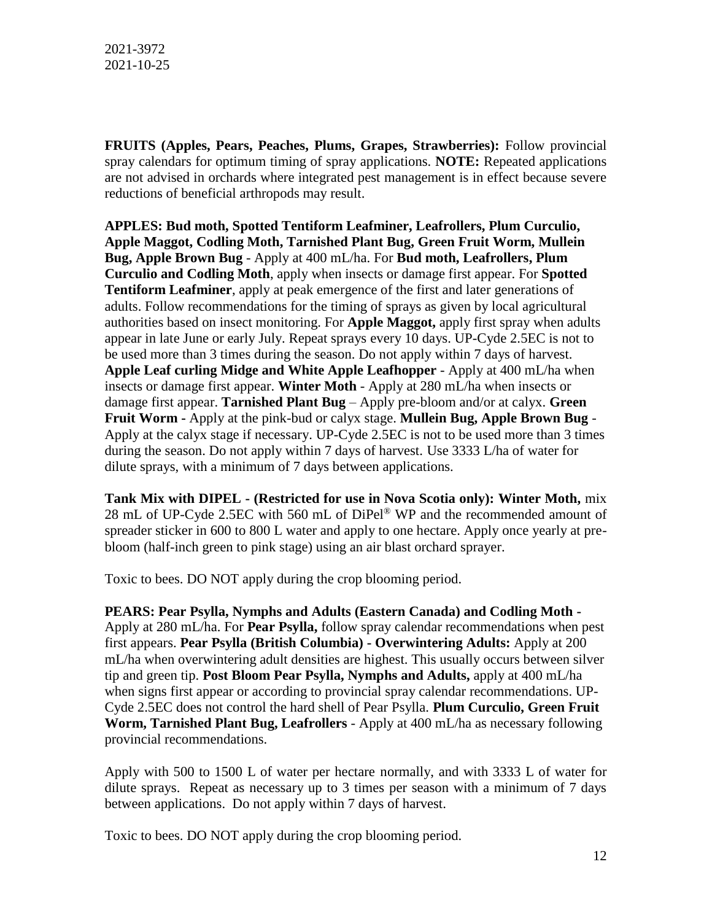**FRUITS (Apples, Pears, Peaches, Plums, Grapes, Strawberries):** Follow provincial spray calendars for optimum timing of spray applications. **NOTE:** Repeated applications are not advised in orchards where integrated pest management is in effect because severe reductions of beneficial arthropods may result.

**APPLES: Bud moth, Spotted Tentiform Leafminer, Leafrollers, Plum Curculio, Apple Maggot, Codling Moth, Tarnished Plant Bug, Green Fruit Worm, Mullein Bug, Apple Brown Bug** - Apply at 400 mL/ha. For **Bud moth, Leafrollers, Plum Curculio and Codling Moth**, apply when insects or damage first appear. For **Spotted Tentiform Leafminer**, apply at peak emergence of the first and later generations of adults. Follow recommendations for the timing of sprays as given by local agricultural authorities based on insect monitoring. For **Apple Maggot,** apply first spray when adults appear in late June or early July. Repeat sprays every 10 days. UP-Cyde 2.5EC is not to be used more than 3 times during the season. Do not apply within 7 days of harvest. **Apple Leaf curling Midge and White Apple Leafhopper** - Apply at 400 mL/ha when insects or damage first appear. **Winter Moth** - Apply at 280 mL/ha when insects or damage first appear. **Tarnished Plant Bug** – Apply pre-bloom and/or at calyx. **Green Fruit Worm -** Apply at the pink-bud or calyx stage. **Mullein Bug, Apple Brown Bug** - Apply at the calyx stage if necessary. UP-Cyde 2.5EC is not to be used more than 3 times during the season. Do not apply within 7 days of harvest. Use 3333 L/ha of water for dilute sprays, with a minimum of 7 days between applications.

**Tank Mix with DIPEL - (Restricted for use in Nova Scotia only): Winter Moth,** mix 28 mL of UP-Cyde 2.5EC with 560 mL of DiPel® WP and the recommended amount of spreader sticker in 600 to 800 L water and apply to one hectare. Apply once yearly at prebloom (half-inch green to pink stage) using an air blast orchard sprayer.

Toxic to bees. DO NOT apply during the crop blooming period.

**PEARS: Pear Psylla, Nymphs and Adults (Eastern Canada) and Codling Moth -** Apply at 280 mL/ha. For **Pear Psylla,** follow spray calendar recommendations when pest first appears. **Pear Psylla (British Columbia) - Overwintering Adults:** Apply at 200 mL/ha when overwintering adult densities are highest. This usually occurs between silver tip and green tip. **Post Bloom Pear Psylla, Nymphs and Adults,** apply at 400 mL/ha when signs first appear or according to provincial spray calendar recommendations. UP-Cyde 2.5EC does not control the hard shell of Pear Psylla. **Plum Curculio, Green Fruit Worm, Tarnished Plant Bug, Leafrollers** - Apply at 400 mL/ha as necessary following provincial recommendations.

Apply with 500 to 1500 L of water per hectare normally, and with 3333 L of water for dilute sprays. Repeat as necessary up to 3 times per season with a minimum of 7 days between applications. Do not apply within 7 days of harvest.

Toxic to bees. DO NOT apply during the crop blooming period.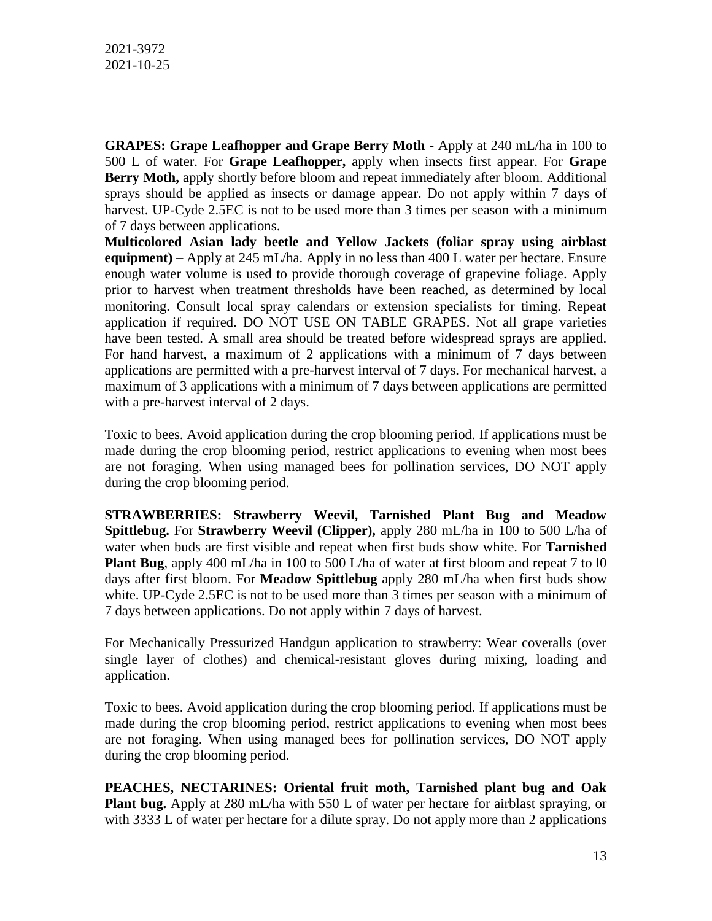**GRAPES: Grape Leafhopper and Grape Berry Moth - Apply at 240 mL/ha in 100 to** 500 L of water. For **Grape Leafhopper,** apply when insects first appear. For **Grape Berry Moth,** apply shortly before bloom and repeat immediately after bloom. Additional sprays should be applied as insects or damage appear. Do not apply within 7 days of harvest. UP-Cyde 2.5EC is not to be used more than 3 times per season with a minimum of 7 days between applications.

**Multicolored Asian lady beetle and Yellow Jackets (foliar spray using airblast equipment)** – Apply at 245 mL/ha. Apply in no less than 400 L water per hectare. Ensure enough water volume is used to provide thorough coverage of grapevine foliage. Apply prior to harvest when treatment thresholds have been reached, as determined by local monitoring. Consult local spray calendars or extension specialists for timing. Repeat application if required. DO NOT USE ON TABLE GRAPES. Not all grape varieties have been tested. A small area should be treated before widespread sprays are applied. For hand harvest, a maximum of 2 applications with a minimum of 7 days between applications are permitted with a pre-harvest interval of 7 days. For mechanical harvest, a maximum of 3 applications with a minimum of 7 days between applications are permitted with a pre-harvest interval of 2 days.

Toxic to bees. Avoid application during the crop blooming period. If applications must be made during the crop blooming period, restrict applications to evening when most bees are not foraging. When using managed bees for pollination services, DO NOT apply during the crop blooming period.

**STRAWBERRIES: Strawberry Weevil, Tarnished Plant Bug and Meadow Spittlebug.** For **Strawberry Weevil (Clipper),** apply 280 mL/ha in 100 to 500 L/ha of water when buds are first visible and repeat when first buds show white. For **Tarnished Plant Bug**, apply 400 mL/ha in 100 to 500 L/ha of water at first bloom and repeat 7 to l0 days after first bloom. For **Meadow Spittlebug** apply 280 mL/ha when first buds show white. UP-Cyde 2.5EC is not to be used more than 3 times per season with a minimum of 7 days between applications. Do not apply within 7 days of harvest.

For Mechanically Pressurized Handgun application to strawberry: Wear coveralls (over single layer of clothes) and chemical-resistant gloves during mixing, loading and application.

Toxic to bees. Avoid application during the crop blooming period. If applications must be made during the crop blooming period, restrict applications to evening when most bees are not foraging. When using managed bees for pollination services, DO NOT apply during the crop blooming period.

**PEACHES, NECTARINES: Oriental fruit moth, Tarnished plant bug and Oak Plant bug.** Apply at 280 mL/ha with 550 L of water per hectare for airblast spraying, or with 3333 L of water per hectare for a dilute spray. Do not apply more than 2 applications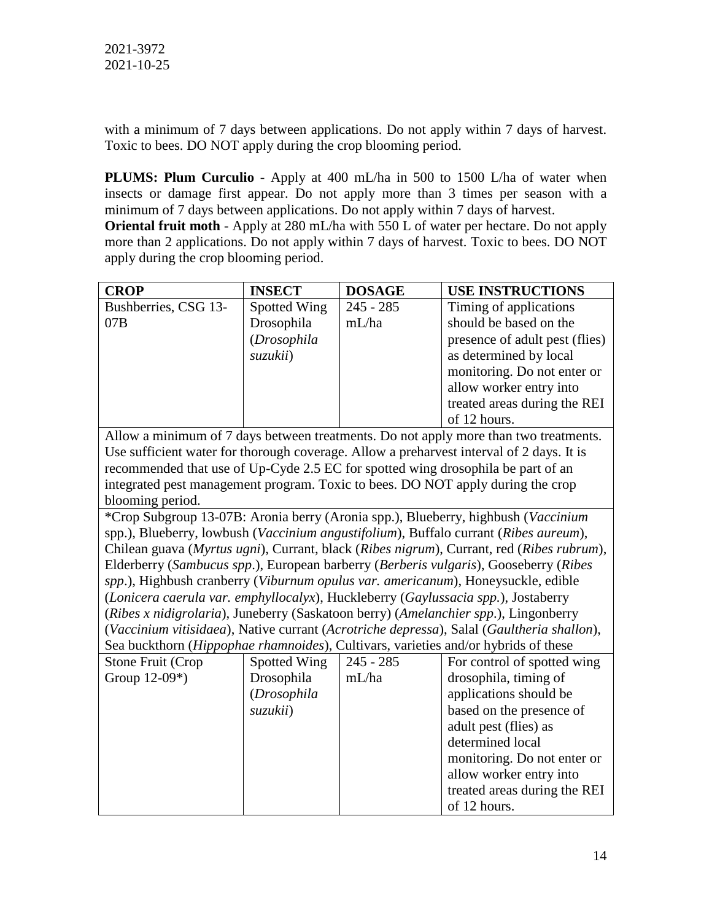with a minimum of 7 days between applications. Do not apply within 7 days of harvest. Toxic to bees. DO NOT apply during the crop blooming period.

**PLUMS: Plum Curculio** - Apply at 400 mL/ha in 500 to 1500 L/ha of water when insects or damage first appear. Do not apply more than 3 times per season with a minimum of 7 days between applications. Do not apply within 7 days of harvest.

**Oriental fruit moth** - Apply at 280 mL/ha with 550 L of water per hectare. Do not apply more than 2 applications. Do not apply within 7 days of harvest. Toxic to bees. DO NOT apply during the crop blooming period.

| <b>CROP</b>                                                                        | <b>INSECT</b> | <b>DOSAGE</b> | <b>USE INSTRUCTIONS</b>                                                                   |
|------------------------------------------------------------------------------------|---------------|---------------|-------------------------------------------------------------------------------------------|
| Bushberries, CSG 13-                                                               | Spotted Wing  | $245 - 285$   | Timing of applications                                                                    |
| 07B                                                                                | Drosophila    | mL/ha         | should be based on the                                                                    |
|                                                                                    | (Drosophila   |               | presence of adult pest (flies)                                                            |
|                                                                                    | suzukii)      |               | as determined by local                                                                    |
|                                                                                    |               |               | monitoring. Do not enter or                                                               |
|                                                                                    |               |               | allow worker entry into                                                                   |
|                                                                                    |               |               | treated areas during the REI                                                              |
|                                                                                    |               |               | of 12 hours.                                                                              |
|                                                                                    |               |               | Allow a minimum of 7 days between treatments. Do not apply more than two treatments.      |
|                                                                                    |               |               | Use sufficient water for thorough coverage. Allow a preharvest interval of 2 days. It is  |
| recommended that use of Up-Cyde 2.5 EC for spotted wing drosophila be part of an   |               |               |                                                                                           |
| integrated pest management program. Toxic to bees. DO NOT apply during the crop    |               |               |                                                                                           |
| blooming period.                                                                   |               |               |                                                                                           |
|                                                                                    |               |               | *Crop Subgroup 13-07B: Aronia berry (Aronia spp.), Blueberry, highbush (Vaccinium         |
|                                                                                    |               |               | spp.), Blueberry, lowbush (Vaccinium angustifolium), Buffalo currant (Ribes aureum),      |
|                                                                                    |               |               | Chilean guava (Myrtus ugni), Currant, black (Ribes nigrum), Currant, red (Ribes rubrum),  |
|                                                                                    |               |               | Elderberry (Sambucus spp.), European barberry (Berberis vulgaris), Gooseberry (Ribes      |
|                                                                                    |               |               | spp.), Highbush cranberry (Viburnum opulus var. americanum), Honeysuckle, edible          |
| (Lonicera caerula var. emphyllocalyx), Huckleberry (Gaylussacia spp.), Jostaberry  |               |               |                                                                                           |
|                                                                                    |               |               | (Ribes x nidigrolaria), Juneberry (Saskatoon berry) (Amelanchier spp.), Lingonberry       |
|                                                                                    |               |               | (Vaccinium vitisidaea), Native currant (Acrotriche depressa), Salal (Gaultheria shallon), |
| Sea buckthorn (Hippophae rhamnoides), Cultivars, varieties and/or hybrids of these |               |               |                                                                                           |
| Stone Fruit (Crop                                                                  | Spotted Wing  | $245 - 285$   | For control of spotted wing                                                               |
| Group 12-09*)                                                                      | Drosophila    | mL/ha         | drosophila, timing of                                                                     |
|                                                                                    | (Drosophila   |               | applications should be                                                                    |
|                                                                                    | suzukii)      |               | based on the presence of                                                                  |
|                                                                                    |               |               | adult pest (flies) as                                                                     |
|                                                                                    |               |               | determined local                                                                          |
|                                                                                    |               |               | monitoring. Do not enter or                                                               |
|                                                                                    |               |               | allow worker entry into                                                                   |
|                                                                                    |               |               | treated areas during the REI                                                              |
|                                                                                    |               |               | of 12 hours.                                                                              |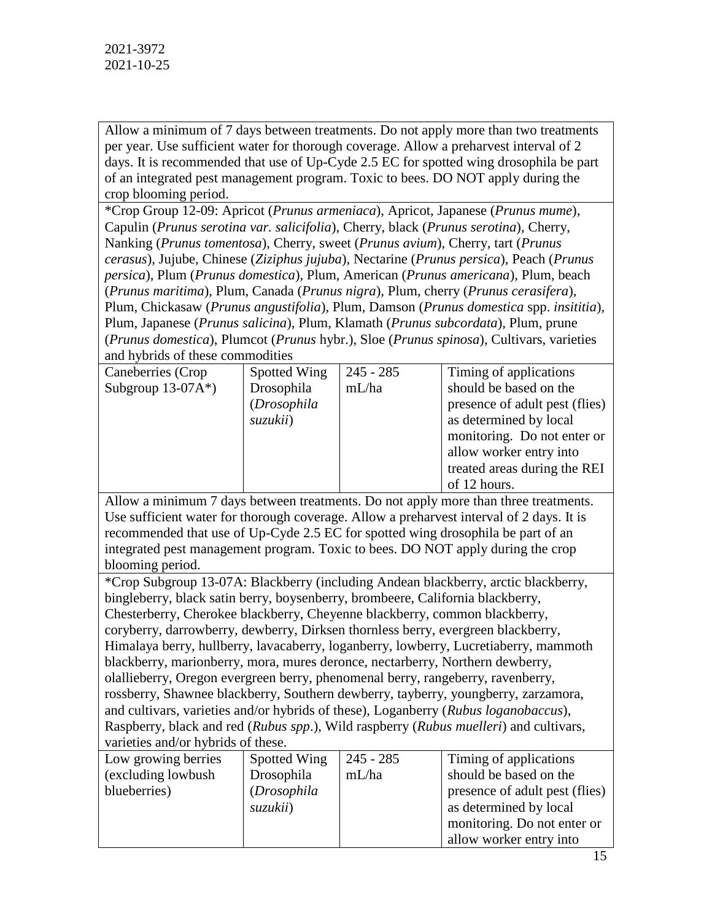Allow a minimum of 7 days between treatments. Do not apply more than two treatments per year. Use sufficient water for thorough coverage. Allow a preharvest interval of 2 days. It is recommended that use of Up-Cyde 2.5 EC for spotted wing drosophila be part of an integrated pest management program. Toxic to bees. DO NOT apply during the crop blooming period.

\*Crop Group 12-09: Apricot (*Prunus armeniaca*), Apricot, Japanese (*Prunus mume*), Capulin (*Prunus serotina var. salicifolia*), Cherry, black (*Prunus serotina*), Cherry, Nanking (*Prunus tomentosa*), Cherry, sweet (*Prunus avium*), Cherry, tart (*Prunus cerasus*), Jujube, Chinese (*Ziziphus jujuba*), Nectarine (*Prunus persica*), Peach (*Prunus persica*), Plum (*Prunus domestica*), Plum, American (*Prunus americana*), Plum, beach (*Prunus maritima*), Plum, Canada (*Prunus nigra*), Plum, cherry (*Prunus cerasifera*), Plum, Chickasaw (*Prunus angustifolia*), Plum, Damson (*Prunus domestica* spp. *insititia*), Plum, Japanese (*Prunus salicina*), Plum, Klamath (*Prunus subcordata*), Plum, prune (*Prunus domestica*), Plumcot (*Prunus* hybr.), Sloe (*Prunus spinosa*), Cultivars, varieties and hybrids of these commodities

| Caneberries (Crop     | Spotted Wing | $245 - 285$ | Timing of applications         |
|-----------------------|--------------|-------------|--------------------------------|
| Subgroup $13-07A^*$ ) | Drosophila   | mL/ha       | should be based on the         |
|                       | (Drosophila  |             | presence of adult pest (flies) |
|                       | suzukii)     |             | as determined by local         |
|                       |              |             | monitoring. Do not enter or    |
|                       |              |             | allow worker entry into        |
|                       |              |             | treated areas during the REI   |
|                       |              |             | of 12 hours.                   |

Allow a minimum 7 days between treatments. Do not apply more than three treatments. Use sufficient water for thorough coverage. Allow a preharvest interval of 2 days. It is recommended that use of Up-Cyde 2.5 EC for spotted wing drosophila be part of an integrated pest management program. Toxic to bees. DO NOT apply during the crop blooming period.

\*Crop Subgroup 13-07A: Blackberry (including Andean blackberry, arctic blackberry, bingleberry, black satin berry, boysenberry, brombeere, California blackberry, Chesterberry, Cherokee blackberry, Cheyenne blackberry, common blackberry, coryberry, darrowberry, dewberry, Dirksen thornless berry, evergreen blackberry, Himalaya berry, hullberry, lavacaberry, loganberry, lowberry, Lucretiaberry, mammoth blackberry, marionberry, mora, mures deronce, nectarberry, Northern dewberry, olallieberry, Oregon evergreen berry, phenomenal berry, rangeberry, ravenberry, rossberry, Shawnee blackberry, Southern dewberry, tayberry, youngberry, zarzamora, and cultivars, varieties and/or hybrids of these), Loganberry (*Rubus loganobaccus*), Raspberry, black and red (*Rubus spp*.), Wild raspberry (*Rubus muelleri*) and cultivars, varieties and/or hybrids of these.

| Low growing berries | Spotted Wing | $245 - 285$ | Timing of applications         |
|---------------------|--------------|-------------|--------------------------------|
| (excluding lowbush) | Drosophila   | mL/ha       | should be based on the         |
| blueberries)        | (Drosophila  |             | presence of adult pest (flies) |
|                     | suzukii)     |             | as determined by local         |
|                     |              |             | monitoring. Do not enter or    |
|                     |              |             | allow worker entry into        |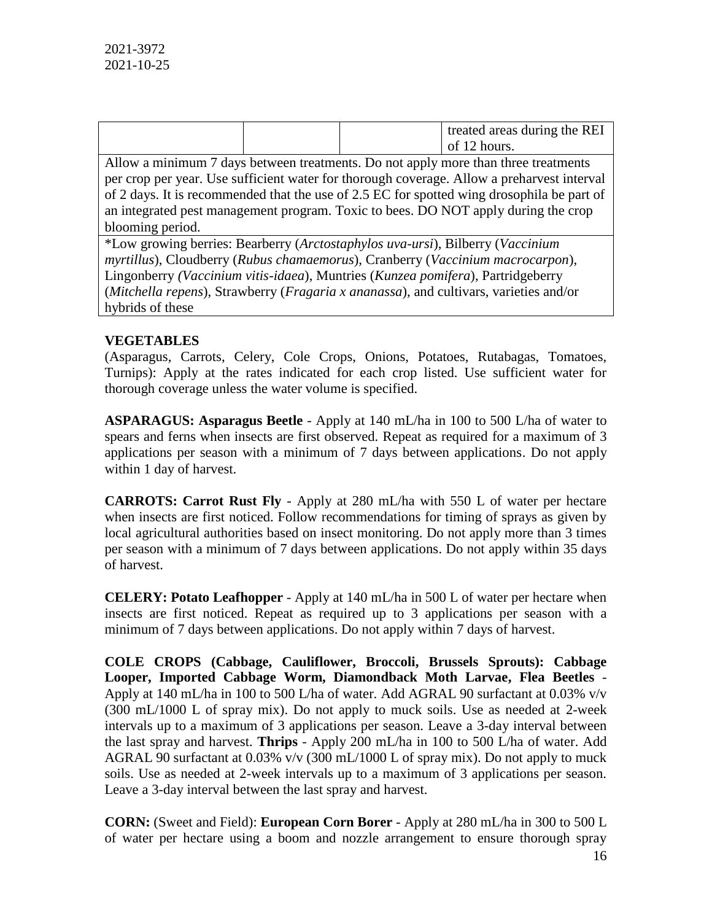|  | treated areas during the REI |
|--|------------------------------|
|  | of 12 hours.                 |

Allow a minimum 7 days between treatments. Do not apply more than three treatments per crop per year. Use sufficient water for thorough coverage. Allow a preharvest interval of 2 days. It is recommended that the use of 2.5 EC for spotted wing drosophila be part of an integrated pest management program. Toxic to bees. DO NOT apply during the crop blooming period.

\*Low growing berries: Bearberry (*Arctostaphylos uva-ursi*), Bilberry (*Vaccinium myrtillus*), Cloudberry (*Rubus chamaemorus*), Cranberry (*Vaccinium macrocarpon*), Lingonberry *(Vaccinium vitis-idaea*), Muntries (*Kunzea pomifera*), Partridgeberry (*Mitchella repens*), Strawberry (*Fragaria x ananassa*), and cultivars, varieties and/or hybrids of these

## **VEGETABLES**

(Asparagus, Carrots, Celery, Cole Crops, Onions, Potatoes, Rutabagas, Tomatoes, Turnips): Apply at the rates indicated for each crop listed. Use sufficient water for thorough coverage unless the water volume is specified.

**ASPARAGUS: Asparagus Beetle** - Apply at 140 mL/ha in 100 to 500 L/ha of water to spears and ferns when insects are first observed. Repeat as required for a maximum of 3 applications per season with a minimum of 7 days between applications. Do not apply within 1 day of harvest.

**CARROTS: Carrot Rust Fly** - Apply at 280 mL/ha with 550 L of water per hectare when insects are first noticed. Follow recommendations for timing of sprays as given by local agricultural authorities based on insect monitoring. Do not apply more than 3 times per season with a minimum of 7 days between applications. Do not apply within 35 days of harvest.

**CELERY: Potato Leafhopper** - Apply at 140 mL/ha in 500 L of water per hectare when insects are first noticed. Repeat as required up to 3 applications per season with a minimum of 7 days between applications. Do not apply within 7 days of harvest.

**COLE CROPS (Cabbage, Cauliflower, Broccoli, Brussels Sprouts): Cabbage Looper, Imported Cabbage Worm, Diamondback Moth Larvae, Flea Beetles** - Apply at 140 mL/ha in 100 to 500 L/ha of water. Add AGRAL 90 surfactant at 0.03% v/v (300 mL/1000 L of spray mix). Do not apply to muck soils. Use as needed at 2-week intervals up to a maximum of 3 applications per season. Leave a 3-day interval between the last spray and harvest. **Thrips** - Apply 200 mL/ha in 100 to 500 L/ha of water. Add AGRAL 90 surfactant at 0.03% v/v (300 mL/1000 L of spray mix). Do not apply to muck soils. Use as needed at 2-week intervals up to a maximum of 3 applications per season. Leave a 3-day interval between the last spray and harvest.

**CORN:** (Sweet and Field): **European Corn Borer** - Apply at 280 mL/ha in 300 to 500 L of water per hectare using a boom and nozzle arrangement to ensure thorough spray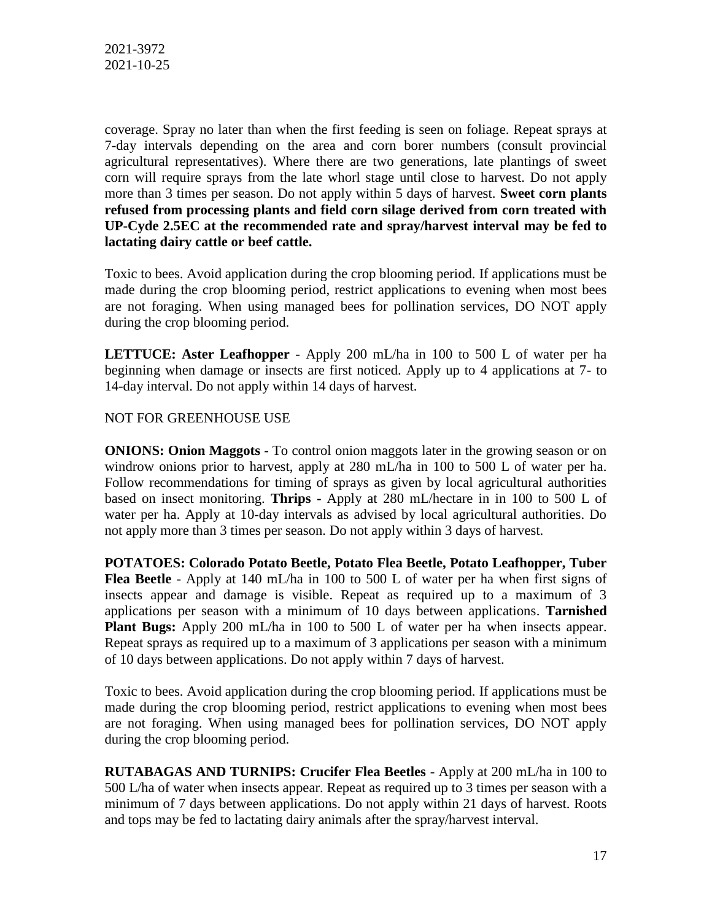coverage. Spray no later than when the first feeding is seen on foliage. Repeat sprays at 7-day intervals depending on the area and corn borer numbers (consult provincial agricultural representatives). Where there are two generations, late plantings of sweet corn will require sprays from the late whorl stage until close to harvest. Do not apply more than 3 times per season. Do not apply within 5 days of harvest. **Sweet corn plants refused from processing plants and field corn silage derived from corn treated with UP-Cyde 2.5EC at the recommended rate and spray/harvest interval may be fed to lactating dairy cattle or beef cattle.** 

Toxic to bees. Avoid application during the crop blooming period. If applications must be made during the crop blooming period, restrict applications to evening when most bees are not foraging. When using managed bees for pollination services, DO NOT apply during the crop blooming period.

**LETTUCE: Aster Leafhopper** - Apply 200 mL/ha in 100 to 500 L of water per ha beginning when damage or insects are first noticed. Apply up to 4 applications at 7- to 14-day interval. Do not apply within 14 days of harvest.

NOT FOR GREENHOUSE USE

**ONIONS: Onion Maggots** - To control onion maggots later in the growing season or on windrow onions prior to harvest, apply at 280 mL/ha in 100 to 500 L of water per ha. Follow recommendations for timing of sprays as given by local agricultural authorities based on insect monitoring. **Thrips -** Apply at 280 mL/hectare in in 100 to 500 L of water per ha. Apply at 10-day intervals as advised by local agricultural authorities. Do not apply more than 3 times per season. Do not apply within 3 days of harvest.

**POTATOES: Colorado Potato Beetle, Potato Flea Beetle, Potato Leafhopper, Tuber Flea Beetle** - Apply at 140 mL/ha in 100 to 500 L of water per ha when first signs of insects appear and damage is visible. Repeat as required up to a maximum of 3 applications per season with a minimum of 10 days between applications. **Tarnished Plant Bugs:** Apply 200 mL/ha in 100 to 500 L of water per ha when insects appear. Repeat sprays as required up to a maximum of 3 applications per season with a minimum of 10 days between applications. Do not apply within 7 days of harvest.

Toxic to bees. Avoid application during the crop blooming period. If applications must be made during the crop blooming period, restrict applications to evening when most bees are not foraging. When using managed bees for pollination services, DO NOT apply during the crop blooming period.

**RUTABAGAS AND TURNIPS: Crucifer Flea Beetles** - Apply at 200 mL/ha in 100 to 500 L/ha of water when insects appear. Repeat as required up to 3 times per season with a minimum of 7 days between applications. Do not apply within 21 days of harvest. Roots and tops may be fed to lactating dairy animals after the spray/harvest interval.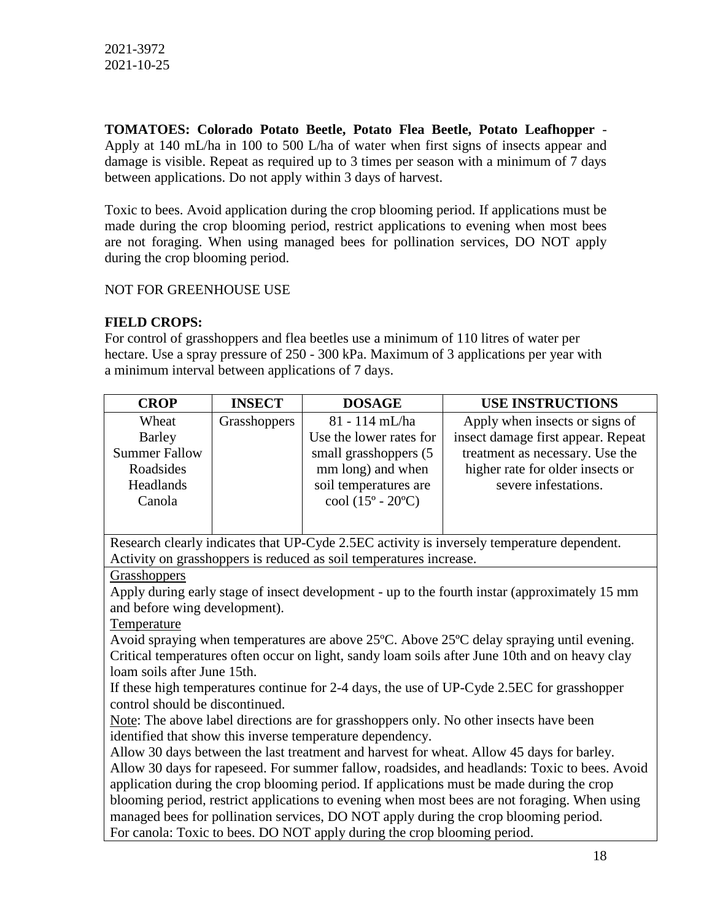**TOMATOES: Colorado Potato Beetle, Potato Flea Beetle, Potato Leafhopper** - Apply at 140 mL/ha in 100 to 500 L/ha of water when first signs of insects appear and damage is visible. Repeat as required up to 3 times per season with a minimum of 7 days between applications. Do not apply within 3 days of harvest.

Toxic to bees. Avoid application during the crop blooming period. If applications must be made during the crop blooming period, restrict applications to evening when most bees are not foraging. When using managed bees for pollination services, DO NOT apply during the crop blooming period.

## NOT FOR GREENHOUSE USE

## **FIELD CROPS:**

For control of grasshoppers and flea beetles use a minimum of 110 litres of water per hectare. Use a spray pressure of 250 - 300 kPa. Maximum of 3 applications per year with a minimum interval between applications of 7 days.

| <b>CROP</b>          | <b>INSECT</b> | <b>DOSAGE</b>                                    | <b>USE INSTRUCTIONS</b>            |
|----------------------|---------------|--------------------------------------------------|------------------------------------|
| Wheat                | Grasshoppers  | 81 - 114 mL/ha                                   | Apply when insects or signs of     |
| Barley               |               | Use the lower rates for                          | insect damage first appear. Repeat |
| <b>Summer Fallow</b> |               | small grasshoppers (5)                           | treatment as necessary. Use the    |
| Roadsides            |               | mm long) and when                                | higher rate for older insects or   |
| <b>Headlands</b>     |               | soil temperatures are                            | severe infestations.               |
| Canola               |               | $\text{cool} (15^{\circ} - 20^{\circ} \text{C})$ |                                    |
|                      |               |                                                  |                                    |

Research clearly indicates that UP-Cyde 2.5EC activity is inversely temperature dependent. Activity on grasshoppers is reduced as soil temperatures increase.

## **Grasshoppers**

Apply during early stage of insect development - up to the fourth instar (approximately 15 mm and before wing development).

Temperature

Avoid spraying when temperatures are above 25ºC. Above 25ºC delay spraying until evening. Critical temperatures often occur on light, sandy loam soils after June 10th and on heavy clay loam soils after June 15th.

If these high temperatures continue for 2-4 days, the use of UP-Cyde 2.5EC for grasshopper control should be discontinued.

Note: The above label directions are for grasshoppers only. No other insects have been identified that show this inverse temperature dependency.

Allow 30 days between the last treatment and harvest for wheat. Allow 45 days for barley. Allow 30 days for rapeseed. For summer fallow, roadsides, and headlands: Toxic to bees. Avoid application during the crop blooming period. If applications must be made during the crop blooming period, restrict applications to evening when most bees are not foraging. When using managed bees for pollination services, DO NOT apply during the crop blooming period. For canola: Toxic to bees. DO NOT apply during the crop blooming period.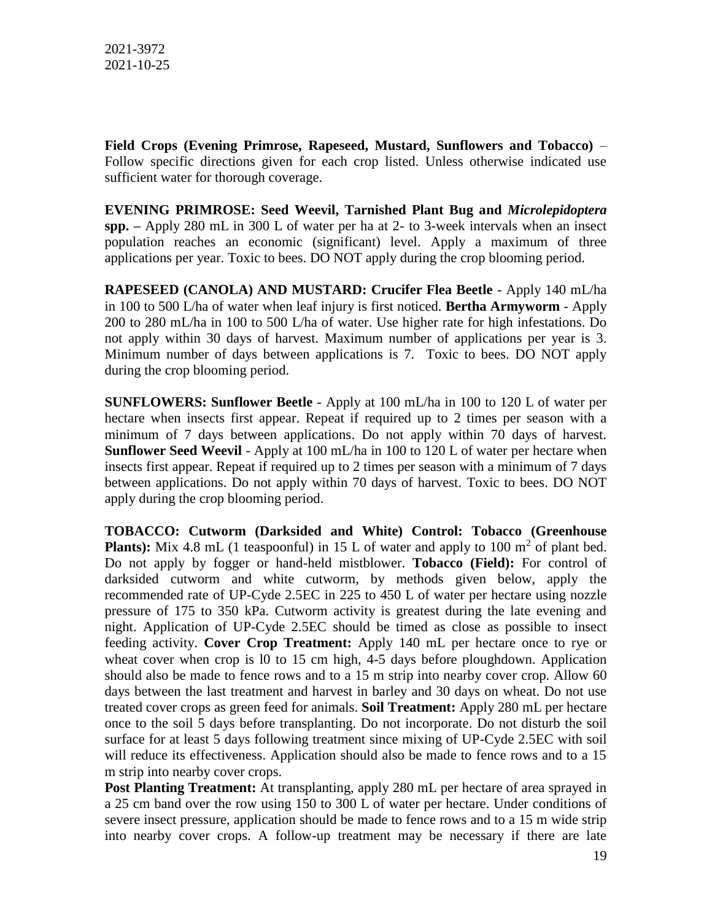**Field Crops (Evening Primrose, Rapeseed, Mustard, Sunflowers and Tobacco)** – Follow specific directions given for each crop listed. Unless otherwise indicated use sufficient water for thorough coverage.

**EVENING PRIMROSE: Seed Weevil, Tarnished Plant Bug and** *Microlepidoptera* **spp. –** Apply 280 mL in 300 L of water per ha at 2- to 3-week intervals when an insect population reaches an economic (significant) level. Apply a maximum of three applications per year. Toxic to bees. DO NOT apply during the crop blooming period.

**RAPESEED (CANOLA) AND MUSTARD: Crucifer Flea Beetle** - Apply 140 mL/ha in 100 to 500 L/ha of water when leaf injury is first noticed. **Bertha Armyworm** - Apply 200 to 280 mL/ha in 100 to 500 L/ha of water. Use higher rate for high infestations. Do not apply within 30 days of harvest. Maximum number of applications per year is 3. Minimum number of days between applications is 7. Toxic to bees. DO NOT apply during the crop blooming period.

**SUNFLOWERS: Sunflower Beetle** - Apply at 100 mL/ha in 100 to 120 L of water per hectare when insects first appear. Repeat if required up to 2 times per season with a minimum of 7 days between applications. Do not apply within 70 days of harvest. **Sunflower Seed Weevil** - Apply at 100 mL/ha in 100 to 120 L of water per hectare when insects first appear. Repeat if required up to 2 times per season with a minimum of 7 days between applications. Do not apply within 70 days of harvest. Toxic to bees. DO NOT apply during the crop blooming period.

**TOBACCO: Cutworm (Darksided and White) Control: Tobacco (Greenhouse Plants):** Mix 4.8 mL (1 teaspoonful) in 15 L of water and apply to 100  $m^2$  of plant bed. Do not apply by fogger or hand-held mistblower. **Tobacco (Field):** For control of darksided cutworm and white cutworm, by methods given below, apply the recommended rate of UP-Cyde 2.5EC in 225 to 450 L of water per hectare using nozzle pressure of 175 to 350 kPa. Cutworm activity is greatest during the late evening and night. Application of UP-Cyde 2.5EC should be timed as close as possible to insect feeding activity. **Cover Crop Treatment:** Apply 140 mL per hectare once to rye or wheat cover when crop is 10 to 15 cm high, 4-5 days before ploughdown. Application should also be made to fence rows and to a 15 m strip into nearby cover crop. Allow 60 days between the last treatment and harvest in barley and 30 days on wheat. Do not use treated cover crops as green feed for animals. **Soil Treatment:** Apply 280 mL per hectare once to the soil 5 days before transplanting. Do not incorporate. Do not disturb the soil surface for at least 5 days following treatment since mixing of UP-Cyde 2.5EC with soil will reduce its effectiveness. Application should also be made to fence rows and to a 15 m strip into nearby cover crops.

**Post Planting Treatment:** At transplanting, apply 280 mL per hectare of area sprayed in a 25 cm band over the row using 150 to 300 L of water per hectare. Under conditions of severe insect pressure, application should be made to fence rows and to a 15 m wide strip into nearby cover crops. A follow-up treatment may be necessary if there are late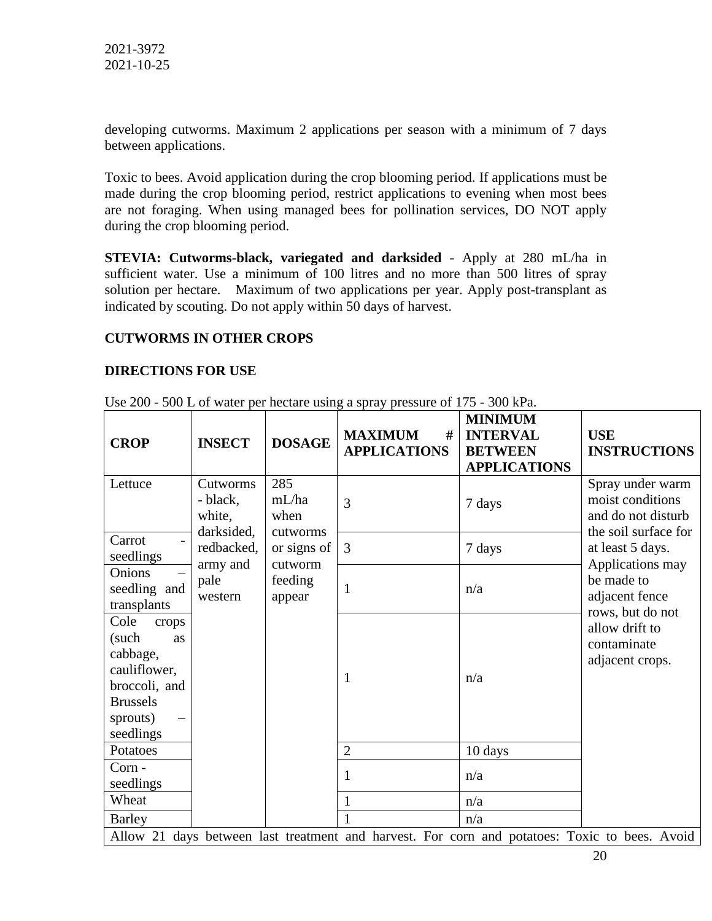developing cutworms. Maximum 2 applications per season with a minimum of 7 days between applications.

Toxic to bees. Avoid application during the crop blooming period. If applications must be made during the crop blooming period, restrict applications to evening when most bees are not foraging. When using managed bees for pollination services, DO NOT apply during the crop blooming period.

**STEVIA: Cutworms-black, variegated and darksided** - Apply at 280 mL/ha in sufficient water. Use a minimum of 100 litres and no more than 500 litres of spray solution per hectare. Maximum of two applications per year. Apply post-transplant as indicated by scouting. Do not apply within 50 days of harvest.

## **CUTWORMS IN OTHER CROPS**

### **DIRECTIONS FOR USE**

| <b>CROP</b>                                                                                                                  | <b>INSECT</b>                                | <b>DOSAGE</b>                    | <b>MAXIMUM</b><br>#<br><b>APPLICATIONS</b>                                                    | <b>MINIMUM</b><br><b>INTERVAL</b><br><b>BETWEEN</b><br><b>APPLICATIONS</b> | <b>USE</b><br><b>INSTRUCTIONS</b>                                                  |
|------------------------------------------------------------------------------------------------------------------------------|----------------------------------------------|----------------------------------|-----------------------------------------------------------------------------------------------|----------------------------------------------------------------------------|------------------------------------------------------------------------------------|
| Lettuce                                                                                                                      | Cutworms<br>- black,<br>white.<br>darksided, | 285<br>mL/ha<br>when<br>cutworms | 3                                                                                             | 7 days                                                                     | Spray under warm<br>moist conditions<br>and do not disturb<br>the soil surface for |
| Carrot<br>seedlings                                                                                                          | redbacked,                                   | or signs of                      | $\overline{3}$                                                                                | 7 days                                                                     | at least 5 days.                                                                   |
| Onions<br>seedling and<br>transplants                                                                                        | army and<br>pale<br>western                  | cutworm<br>feeding<br>appear     | $\mathbf{1}$                                                                                  | n/a                                                                        | Applications may<br>be made to<br>adjacent fence<br>rows, but do not               |
| Cole<br>crops<br>(such<br><b>as</b><br>cabbage,<br>cauliflower,<br>broccoli, and<br><b>Brussels</b><br>sprouts)<br>seedlings |                                              |                                  | $\mathbf{1}$                                                                                  | n/a                                                                        | allow drift to<br>contaminate<br>adjacent crops.                                   |
| Potatoes                                                                                                                     |                                              |                                  | $\overline{2}$                                                                                | 10 days                                                                    |                                                                                    |
| Corn -<br>seedlings                                                                                                          |                                              |                                  | 1                                                                                             | n/a                                                                        |                                                                                    |
| Wheat                                                                                                                        |                                              |                                  | 1                                                                                             | n/a                                                                        |                                                                                    |
| <b>Barley</b>                                                                                                                |                                              |                                  | 1                                                                                             | n/a                                                                        |                                                                                    |
|                                                                                                                              |                                              |                                  | Allow 21 days between last treatment and harvest. For corn and potatoes: Toxic to bees. Avoid |                                                                            |                                                                                    |

Use 200 - 500 L of water per hectare using a spray pressure of 175 - 300 kPa.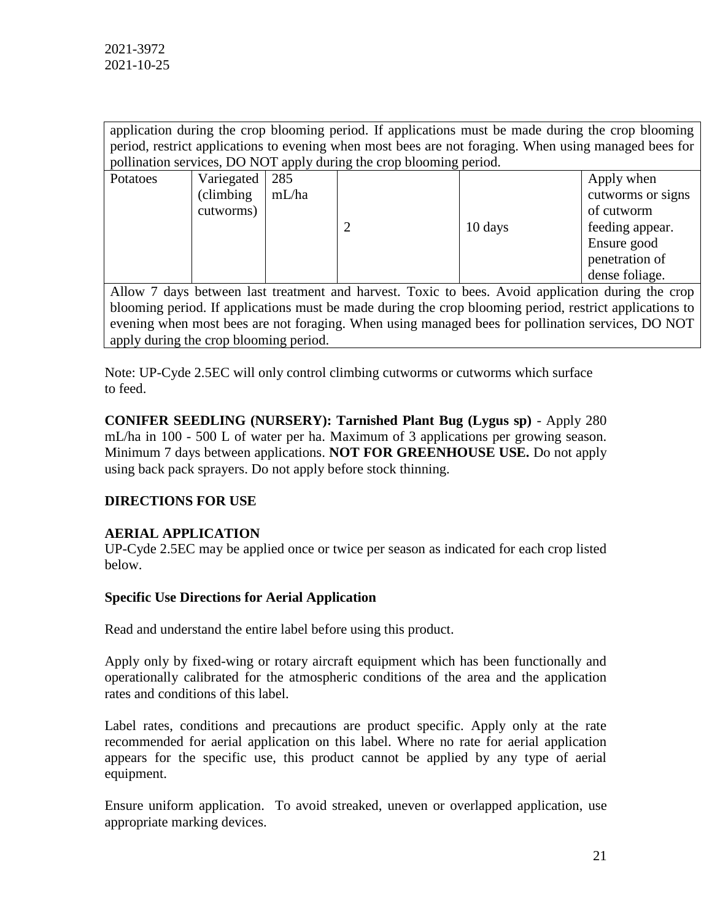application during the crop blooming period. If applications must be made during the crop blooming period, restrict applications to evening when most bees are not foraging. When using managed bees for pollination services, DO NOT apply during the crop blooming period.

|          |            | .     |                | ີ       |                   |
|----------|------------|-------|----------------|---------|-------------------|
| Potatoes | Variegated | 285   |                |         | Apply when        |
|          | (climbing) | mL/ha |                |         | cutworms or signs |
|          | cutworms)  |       |                |         | of cutworm        |
|          |            |       | $\overline{2}$ | 10 days | feeding appear.   |
|          |            |       |                |         | Ensure good       |
|          |            |       |                |         | penetration of    |
|          |            |       |                |         | dense foliage.    |

Allow 7 days between last treatment and harvest. Toxic to bees. Avoid application during the crop blooming period. If applications must be made during the crop blooming period, restrict applications to evening when most bees are not foraging. When using managed bees for pollination services, DO NOT apply during the crop blooming period.

Note: UP-Cyde 2.5EC will only control climbing cutworms or cutworms which surface to feed.

**CONIFER SEEDLING (NURSERY): Tarnished Plant Bug (Lygus sp)** - Apply 280 mL/ha in 100 - 500 L of water per ha. Maximum of 3 applications per growing season. Minimum 7 days between applications. **NOT FOR GREENHOUSE USE.** Do not apply using back pack sprayers. Do not apply before stock thinning.

## **DIRECTIONS FOR USE**

## **AERIAL APPLICATION**

UP-Cyde 2.5EC may be applied once or twice per season as indicated for each crop listed below.

## **Specific Use Directions for Aerial Application**

Read and understand the entire label before using this product.

Apply only by fixed-wing or rotary aircraft equipment which has been functionally and operationally calibrated for the atmospheric conditions of the area and the application rates and conditions of this label.

Label rates, conditions and precautions are product specific. Apply only at the rate recommended for aerial application on this label. Where no rate for aerial application appears for the specific use, this product cannot be applied by any type of aerial equipment.

Ensure uniform application. To avoid streaked, uneven or overlapped application, use appropriate marking devices.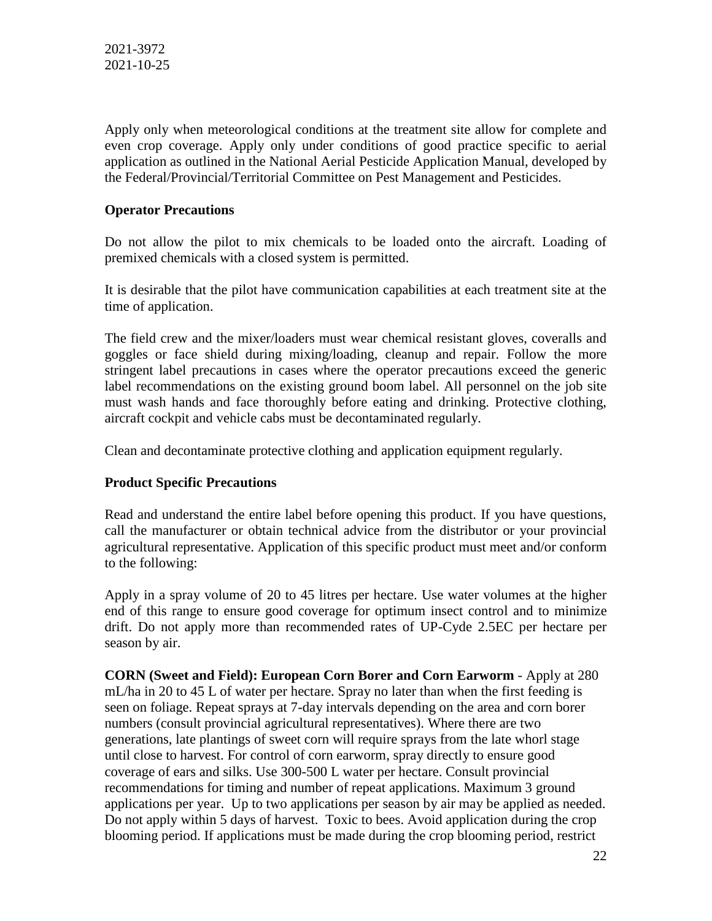Apply only when meteorological conditions at the treatment site allow for complete and even crop coverage. Apply only under conditions of good practice specific to aerial application as outlined in the National Aerial Pesticide Application Manual, developed by the Federal/Provincial/Territorial Committee on Pest Management and Pesticides.

### **Operator Precautions**

Do not allow the pilot to mix chemicals to be loaded onto the aircraft. Loading of premixed chemicals with a closed system is permitted.

It is desirable that the pilot have communication capabilities at each treatment site at the time of application.

The field crew and the mixer/loaders must wear chemical resistant gloves, coveralls and goggles or face shield during mixing/loading, cleanup and repair. Follow the more stringent label precautions in cases where the operator precautions exceed the generic label recommendations on the existing ground boom label. All personnel on the job site must wash hands and face thoroughly before eating and drinking. Protective clothing, aircraft cockpit and vehicle cabs must be decontaminated regularly.

Clean and decontaminate protective clothing and application equipment regularly.

## **Product Specific Precautions**

Read and understand the entire label before opening this product. If you have questions, call the manufacturer or obtain technical advice from the distributor or your provincial agricultural representative. Application of this specific product must meet and/or conform to the following:

Apply in a spray volume of 20 to 45 litres per hectare. Use water volumes at the higher end of this range to ensure good coverage for optimum insect control and to minimize drift. Do not apply more than recommended rates of UP-Cyde 2.5EC per hectare per season by air.

**CORN (Sweet and Field): European Corn Borer and Corn Earworm** - Apply at 280 mL/ha in 20 to 45 L of water per hectare. Spray no later than when the first feeding is seen on foliage. Repeat sprays at 7-day intervals depending on the area and corn borer numbers (consult provincial agricultural representatives). Where there are two generations, late plantings of sweet corn will require sprays from the late whorl stage until close to harvest. For control of corn earworm, spray directly to ensure good coverage of ears and silks. Use 300-500 L water per hectare. Consult provincial recommendations for timing and number of repeat applications. Maximum 3 ground applications per year. Up to two applications per season by air may be applied as needed. Do not apply within 5 days of harvest. Toxic to bees. Avoid application during the crop blooming period. If applications must be made during the crop blooming period, restrict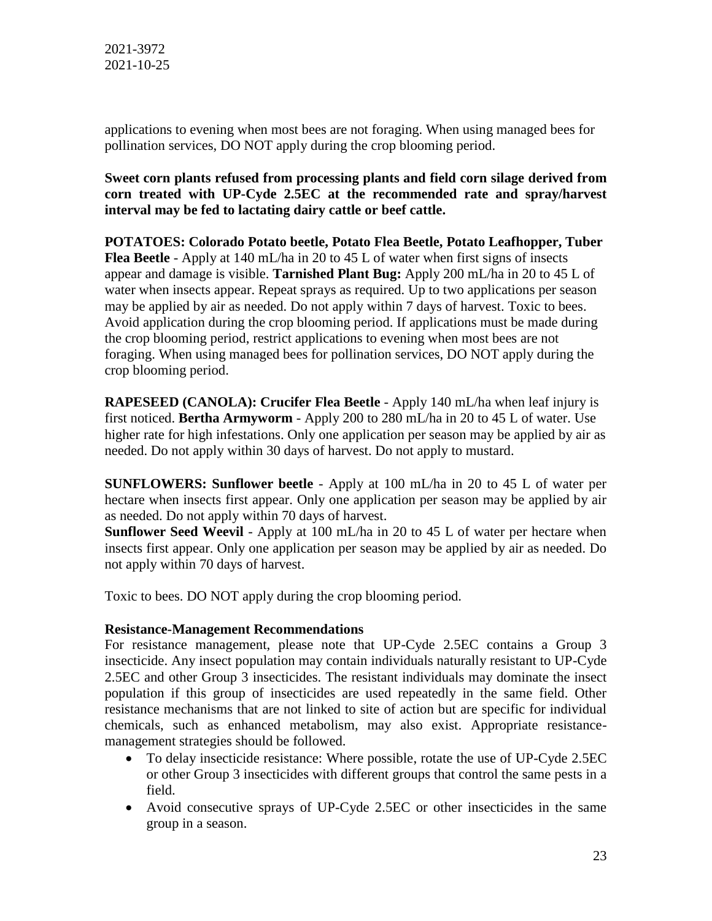applications to evening when most bees are not foraging. When using managed bees for pollination services, DO NOT apply during the crop blooming period.

**Sweet corn plants refused from processing plants and field corn silage derived from corn treated with UP-Cyde 2.5EC at the recommended rate and spray/harvest interval may be fed to lactating dairy cattle or beef cattle.** 

**POTATOES: Colorado Potato beetle, Potato Flea Beetle, Potato Leafhopper, Tuber Flea Beetle** - Apply at 140 mL/ha in 20 to 45 L of water when first signs of insects appear and damage is visible. **Tarnished Plant Bug:** Apply 200 mL/ha in 20 to 45 L of water when insects appear. Repeat sprays as required. Up to two applications per season may be applied by air as needed. Do not apply within 7 days of harvest. Toxic to bees. Avoid application during the crop blooming period. If applications must be made during the crop blooming period, restrict applications to evening when most bees are not foraging. When using managed bees for pollination services, DO NOT apply during the crop blooming period.

**RAPESEED (CANOLA): Crucifer Flea Beetle** - Apply 140 mL/ha when leaf injury is first noticed. **Bertha Armyworm** - Apply 200 to 280 mL/ha in 20 to 45 L of water. Use higher rate for high infestations. Only one application per season may be applied by air as needed. Do not apply within 30 days of harvest. Do not apply to mustard.

**SUNFLOWERS: Sunflower beetle** - Apply at 100 mL/ha in 20 to 45 L of water per hectare when insects first appear. Only one application per season may be applied by air as needed. Do not apply within 70 days of harvest.

**Sunflower Seed Weevil** - Apply at 100 mL/ha in 20 to 45 L of water per hectare when insects first appear. Only one application per season may be applied by air as needed. Do not apply within 70 days of harvest.

Toxic to bees. DO NOT apply during the crop blooming period.

### **Resistance-Management Recommendations**

For resistance management, please note that UP-Cyde 2.5EC contains a Group 3 insecticide. Any insect population may contain individuals naturally resistant to UP-Cyde 2.5EC and other Group 3 insecticides. The resistant individuals may dominate the insect population if this group of insecticides are used repeatedly in the same field. Other resistance mechanisms that are not linked to site of action but are specific for individual chemicals, such as enhanced metabolism, may also exist. Appropriate resistancemanagement strategies should be followed.

- To delay insecticide resistance: Where possible, rotate the use of UP-Cyde 2.5EC or other Group 3 insecticides with different groups that control the same pests in a field.
- Avoid consecutive sprays of UP-Cyde 2.5EC or other insecticides in the same group in a season.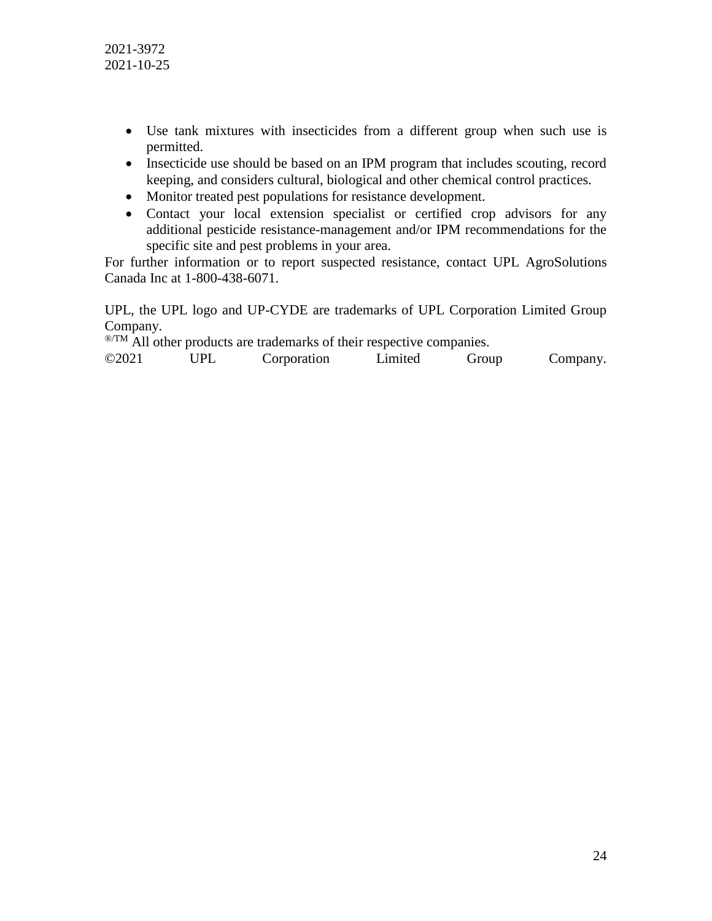- Use tank mixtures with insecticides from a different group when such use is permitted.
- Insecticide use should be based on an IPM program that includes scouting, record keeping, and considers cultural, biological and other chemical control practices.
- Monitor treated pest populations for resistance development.
- Contact your local extension specialist or certified crop advisors for any additional pesticide resistance-management and/or IPM recommendations for the specific site and pest problems in your area.

For further information or to report suspected resistance, contact UPL AgroSolutions Canada Inc at 1-800-438-6071.

UPL, the UPL logo and UP-CYDE are trademarks of UPL Corporation Limited Group Company.

®/TM All other products are trademarks of their respective companies.

©2021 UPL Corporation Limited Group Company.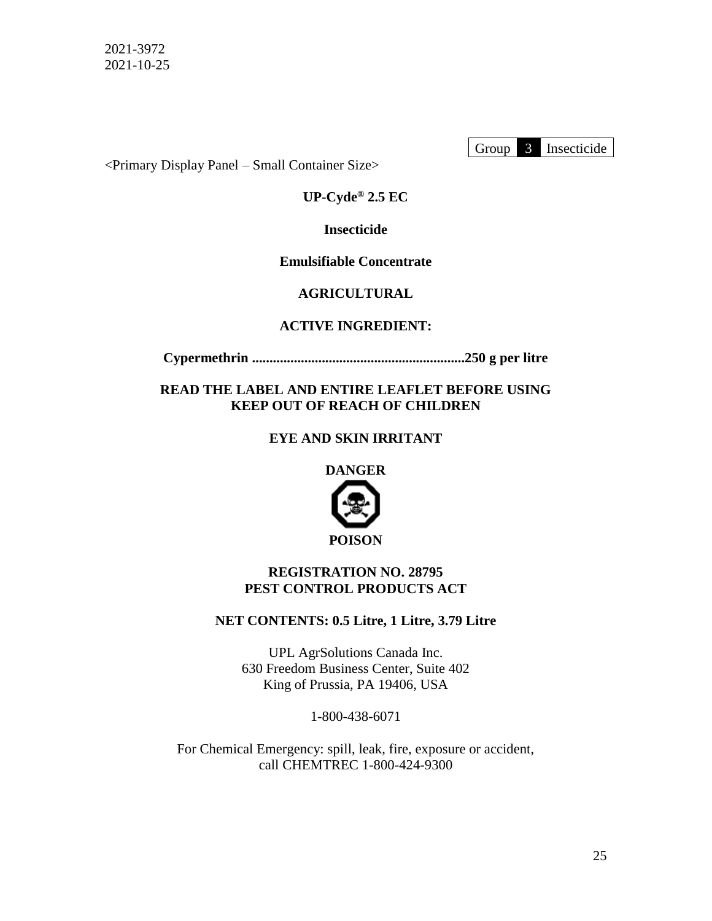Group 3 Insecticide

<Primary Display Panel – Small Container Size>

**UP-Cyde® 2.5 EC**

**Insecticide**

**Emulsifiable Concentrate**

## **AGRICULTURAL**

# **ACTIVE INGREDIENT:**

**Cypermethrin .............................................................250 g per litre**

**READ THE LABEL AND ENTIRE LEAFLET BEFORE USING KEEP OUT OF REACH OF CHILDREN** 

# **EYE AND SKIN IRRITANT**

**DANGER**



## **REGISTRATION NO. 28795 PEST CONTROL PRODUCTS ACT**

## **NET CONTENTS: 0.5 Litre, 1 Litre, 3.79 Litre**

UPL AgrSolutions Canada Inc. 630 Freedom Business Center, Suite 402 King of Prussia, PA 19406, USA

1-800-438-6071

For Chemical Emergency: spill, leak, fire, exposure or accident, call CHEMTREC 1-800-424-9300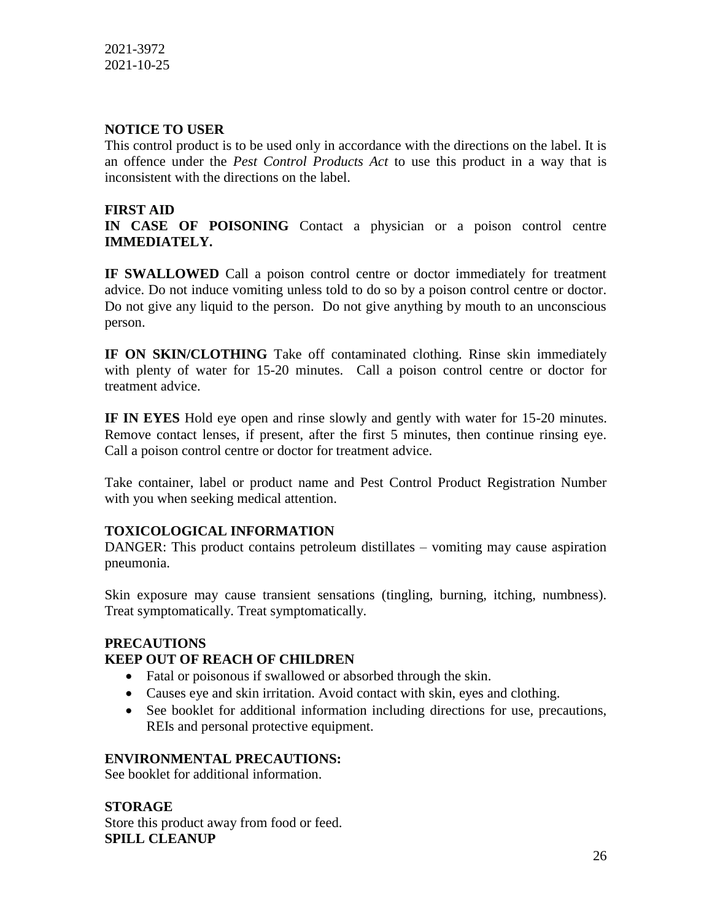## **NOTICE TO USER**

This control product is to be used only in accordance with the directions on the label. It is an offence under the *Pest Control Products Act* to use this product in a way that is inconsistent with the directions on the label.

## **FIRST AID**

**IN CASE OF POISONING** Contact a physician or a poison control centre **IMMEDIATELY.**

**IF SWALLOWED** Call a poison control centre or doctor immediately for treatment advice. Do not induce vomiting unless told to do so by a poison control centre or doctor. Do not give any liquid to the person. Do not give anything by mouth to an unconscious person.

**IF ON SKIN/CLOTHING** Take off contaminated clothing. Rinse skin immediately with plenty of water for 15-20 minutes. Call a poison control centre or doctor for treatment advice.

**IF IN EYES** Hold eye open and rinse slowly and gently with water for 15-20 minutes. Remove contact lenses, if present, after the first 5 minutes, then continue rinsing eye. Call a poison control centre or doctor for treatment advice.

Take container, label or product name and Pest Control Product Registration Number with you when seeking medical attention.

## **TOXICOLOGICAL INFORMATION**

DANGER: This product contains petroleum distillates – vomiting may cause aspiration pneumonia.

Skin exposure may cause transient sensations (tingling, burning, itching, numbness). Treat symptomatically. Treat symptomatically.

# **PRECAUTIONS**

## **KEEP OUT OF REACH OF CHILDREN**

- Fatal or poisonous if swallowed or absorbed through the skin.
- Causes eye and skin irritation. Avoid contact with skin, eyes and clothing.
- See booklet for additional information including directions for use, precautions, REIs and personal protective equipment.

## **ENVIRONMENTAL PRECAUTIONS:**

See booklet for additional information.

**STORAGE** Store this product away from food or feed. **SPILL CLEANUP**